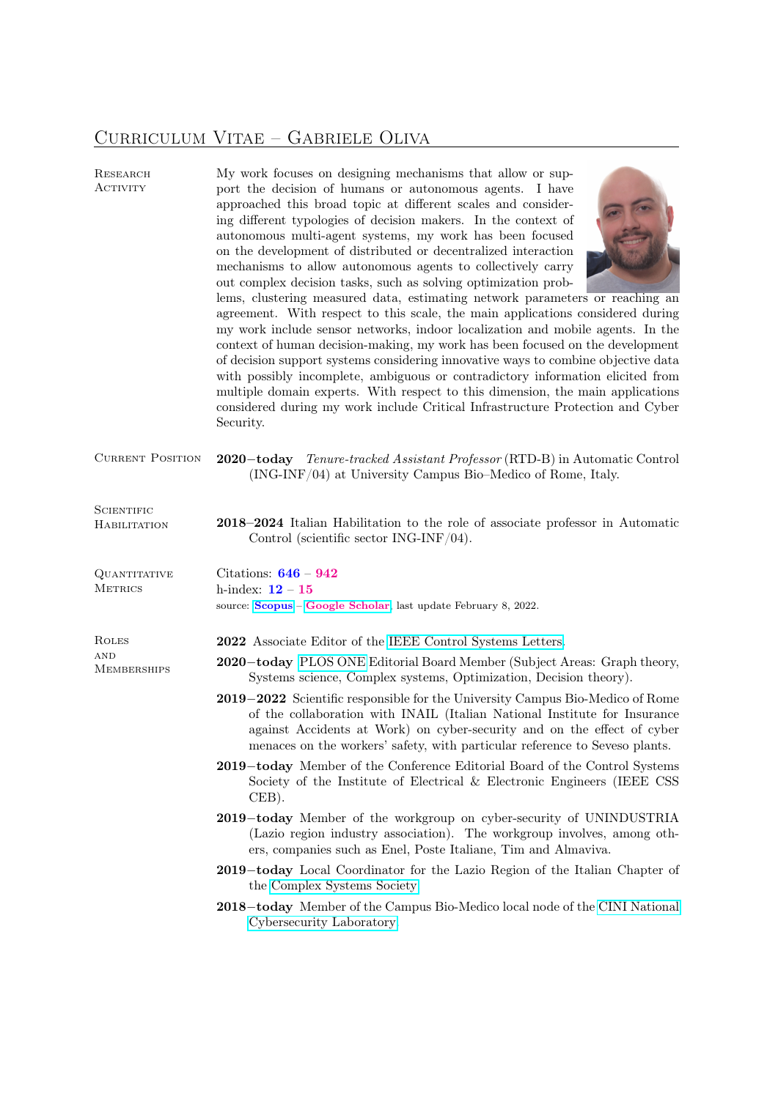# Curriculum Vitae – Gabriele Oliva

| RESEARCH<br><b>ACTIVITY</b>               | My work focuses on designing mechanisms that allow or sup-<br>port the decision of humans or autonomous agents. I have<br>approached this broad topic at different scales and consider-<br>ing different typologies of decision makers. In the context of<br>autonomous multi-agent systems, my work has been focused<br>on the development of distributed or decentralized interaction<br>mechanisms to allow autonomous agents to collectively carry<br>out complex decision tasks, such as solving optimization prob-<br>lems, clustering measured data, estimating network parameters or reaching an<br>agreement. With respect to this scale, the main applications considered during<br>my work include sensor networks, indoor localization and mobile agents. In the<br>context of human decision-making, my work has been focused on the development<br>of decision support systems considering innovative ways to combine objective data<br>with possibly incomplete, ambiguous or contradictory information elicited from<br>multiple domain experts. With respect to this dimension, the main applications<br>considered during my work include Critical Infrastructure Protection and Cyber<br>Security. |
|-------------------------------------------|-----------------------------------------------------------------------------------------------------------------------------------------------------------------------------------------------------------------------------------------------------------------------------------------------------------------------------------------------------------------------------------------------------------------------------------------------------------------------------------------------------------------------------------------------------------------------------------------------------------------------------------------------------------------------------------------------------------------------------------------------------------------------------------------------------------------------------------------------------------------------------------------------------------------------------------------------------------------------------------------------------------------------------------------------------------------------------------------------------------------------------------------------------------------------------------------------------------------------|
| <b>CURRENT POSITION</b>                   | 2020-today Tenure-tracked Assistant Professor (RTD-B) in Automatic Control<br>(ING-INF/04) at University Campus Bio–Medico of Rome, Italy.                                                                                                                                                                                                                                                                                                                                                                                                                                                                                                                                                                                                                                                                                                                                                                                                                                                                                                                                                                                                                                                                            |
| <b>SCIENTIFIC</b><br>HABILITATION         | 2018–2024 Italian Habilitation to the role of associate professor in Automatic<br>Control (scientific sector $ING-INF/04$ ).                                                                                                                                                                                                                                                                                                                                                                                                                                                                                                                                                                                                                                                                                                                                                                                                                                                                                                                                                                                                                                                                                          |
| QUANTITATIVE<br><b>METRICS</b>            | Citations: $646 - 942$<br>h-index: $12 - 15$<br>source: Scopus - Google Scholar, last update February 8, 2022.                                                                                                                                                                                                                                                                                                                                                                                                                                                                                                                                                                                                                                                                                                                                                                                                                                                                                                                                                                                                                                                                                                        |
| ROLES<br><b>AND</b><br><b>MEMBERSHIPS</b> | 2022 Associate Editor of the IEEE Control Systems Letters.<br>2020-today PLOS ONE Editorial Board Member (Subject Areas: Graph theory,<br>Systems science, Complex systems, Optimization, Decision theory).<br>2019–2022 Scientific responsible for the University Campus Bio-Medico of Rome<br>of the collaboration with INAIL (Italian National Institute for Insurance<br>against Accidents at Work) on cyber-security and on the effect of cyber<br>menaces on the workers' safety, with particular reference to Seveso plants.<br>2019–today Member of the Conference Editorial Board of the Control Systems<br>Society of the Institute of Electrical & Electronic Engineers (IEEE CSS<br>$CEB$ ).<br>2019-today Member of the workgroup on cyber-security of UNINDUSTRIA<br>(Lazio region industry association). The workgroup involves, among oth-<br>ers, companies such as Enel, Poste Italiane, Tim and Almaviva.<br>2019–today Local Coordinator for the Lazio Region of the Italian Chapter of<br>the Complex Systems Society.<br>2018-today Member of the Campus Bio-Medico local node of the CINI National<br>Cybersecurity Laboratory.                                                                |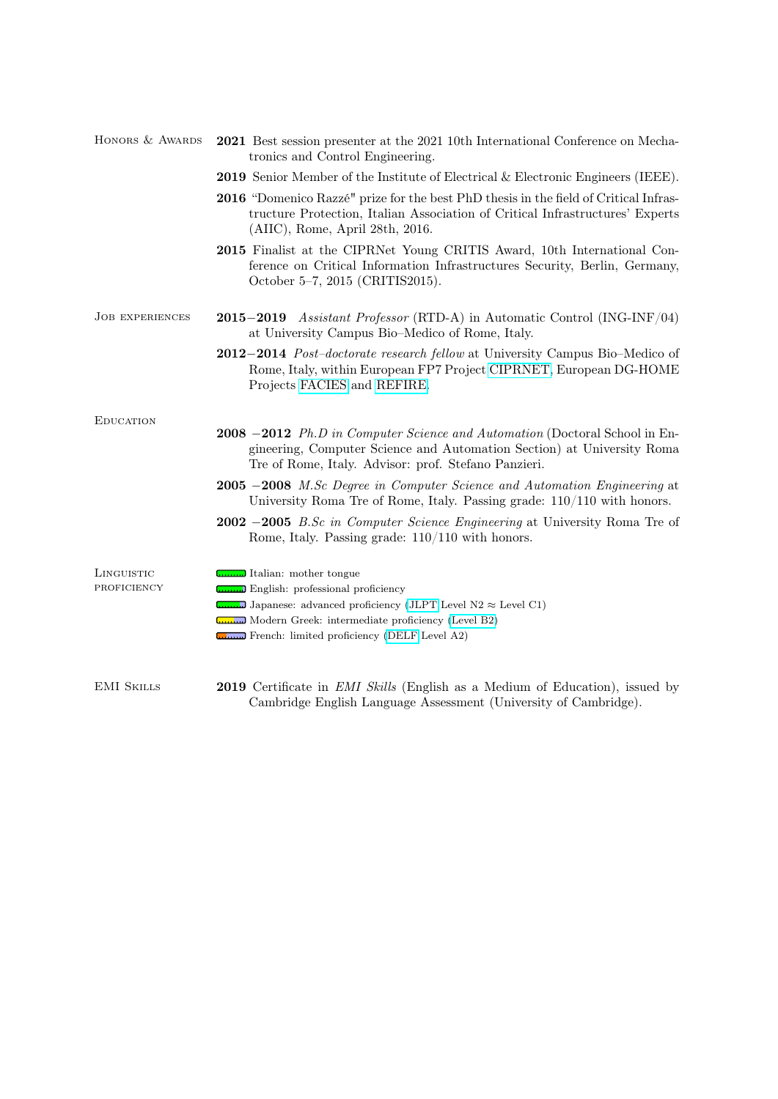| HONORS & AWARDS        | 2021 Best session presenter at the 2021 10th International Conference on Mecha-<br>tronics and Control Engineering.                                                                                                 |
|------------------------|---------------------------------------------------------------------------------------------------------------------------------------------------------------------------------------------------------------------|
|                        | <b>2019</b> Senior Member of the Institute of Electrical & Electronic Engineers (IEEE).                                                                                                                             |
|                        | <b>2016</b> "Domenico Razzé" prize for the best PhD thesis in the field of Critical Infras-<br>tructure Protection, Italian Association of Critical Infrastructures' Experts<br>(AIIC), Rome, April 28th, 2016.     |
|                        | 2015 Finalist at the CIPRNet Young CRITIS Award, 10th International Con-<br>ference on Critical Information Infrastructures Security, Berlin, Germany,<br>October 5-7, 2015 (CRITIS2015).                           |
| <b>JOB EXPERIENCES</b> | <b>2015–2019</b> Assistant Professor (RTD-A) in Automatic Control (ING-INF/04)<br>at University Campus Bio-Medico of Rome, Italy.                                                                                   |
|                        | 2012–2014 <i>Post-doctorate research fellow</i> at University Campus Bio-Medico of<br>Rome, Italy, within European FP7 Project CIPRNET, European DG-HOME<br>Projects FACIES and REFIRE.                             |
| <b>EDUCATION</b>       |                                                                                                                                                                                                                     |
|                        | <b>2008</b> -2012 Ph.D in Computer Science and Automation (Doctoral School in En-<br>gineering, Computer Science and Automation Section) at University Roma<br>Tre of Rome, Italy. Advisor: prof. Stefano Panzieri. |
|                        | <b>2005</b> -2008 M.Sc Degree in Computer Science and Automation Engineering at<br>University Roma Tre of Rome, Italy. Passing grade: $110/110$ with honors.                                                        |
|                        | 2002 -2005 B.Sc in Computer Science Engineering at University Roma Tre of<br>Rome, Italy. Passing grade: $110/110$ with honors.                                                                                     |
| LINGUISTIC             | Italian: mother tongue                                                                                                                                                                                              |
| PROFICIENCY            | <b>English:</b> professional proficiency                                                                                                                                                                            |
|                        | Japanese: advanced proficiency (JLPT Level N2 $\approx$ Level C1)                                                                                                                                                   |
|                        | Modern Greek: intermediate proficiency (Level B2)<br>French: limited proficiency (DELF Level A2)                                                                                                                    |
|                        |                                                                                                                                                                                                                     |
| <b>EMI SKILLS</b>      | <b>2019</b> Certificate in <i>EMI Skills</i> (English as a Medium of Education), issued by<br>Cambridge English Language Assessment (University of Cambridge).                                                      |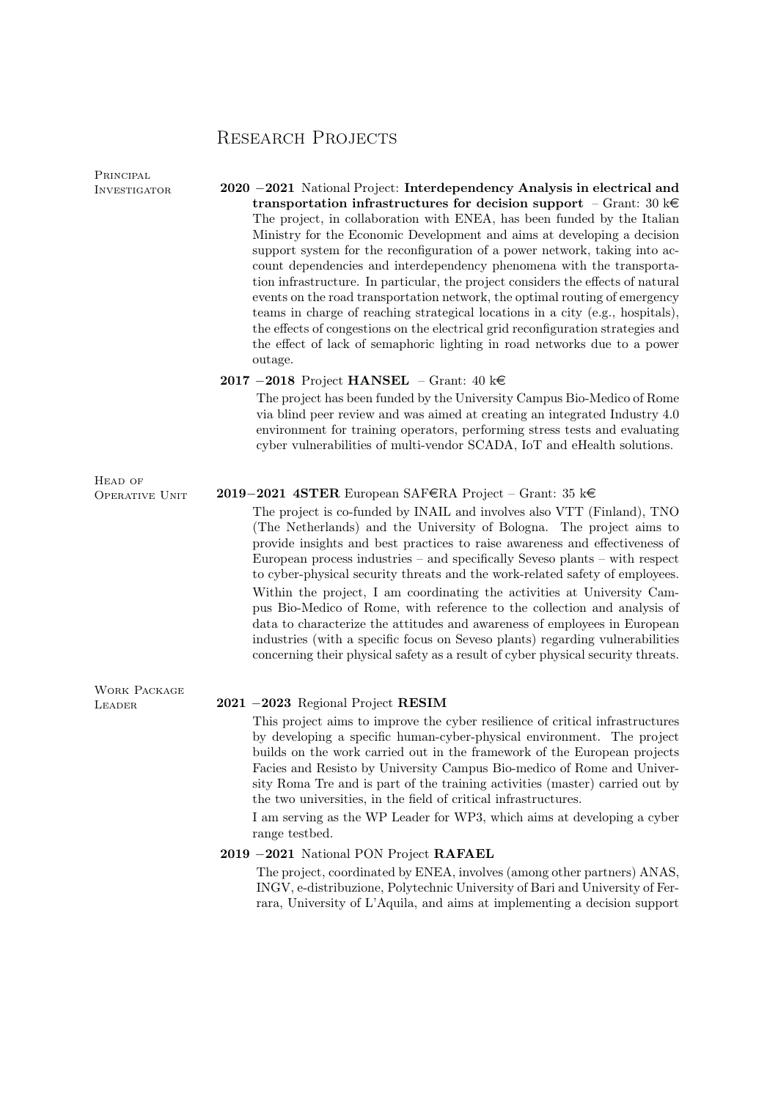## Research Projects

Principal

INVESTIGATOR 2020 −2021 National Project: Interdependency Analysis in electrical and transportation infrastructures for decision support – Grant: 30 k $\in$ The project, in collaboration with ENEA, has been funded by the Italian Ministry for the Economic Development and aims at developing a decision support system for the reconfiguration of a power network, taking into account dependencies and interdependency phenomena with the transportation infrastructure. In particular, the project considers the effects of natural events on the road transportation network, the optimal routing of emergency teams in charge of reaching strategical locations in a city (e.g., hospitals), the effects of congestions on the electrical grid reconfiguration strategies and the effect of lack of semaphoric lighting in road networks due to a power outage.

## 2017 −2018 Project HANSEL – Grant: 40 ke

The project has been funded by the University Campus Bio-Medico of Rome via blind peer review and was aimed at creating an integrated Industry 4.0 environment for training operators, performing stress tests and evaluating cyber vulnerabilities of multi-vendor SCADA, IoT and eHealth solutions.

#### Operative Unit 2019−2021 4STER European SAFeRA Project – Grant: 35 ke

The project is co-funded by INAIL and involves also VTT (Finland), TNO (The Netherlands) and the University of Bologna. The project aims to provide insights and best practices to raise awareness and effectiveness of European process industries – and specifically Seveso plants – with respect to cyber-physical security threats and the work-related safety of employees. Within the project, I am coordinating the activities at University Campus Bio-Medico of Rome, with reference to the collection and analysis of data to characterize the attitudes and awareness of employees in European industries (with a specific focus on Seveso plants) regarding vulnerabilities concerning their physical safety as a result of cyber physical security threats.

Work Package

HEAD OF

## Leader 2021 −2023 Regional Project RESIM

This project aims to improve the cyber resilience of critical infrastructures by developing a specific human-cyber-physical environment. The project builds on the work carried out in the framework of the European projects Facies and Resisto by University Campus Bio-medico of Rome and University Roma Tre and is part of the training activities (master) carried out by the two universities, in the field of critical infrastructures.

I am serving as the WP Leader for WP3, which aims at developing a cyber range testbed.

### 2019 −2021 National PON Project RAFAEL

The project, coordinated by ENEA, involves (among other partners) ANAS, INGV, e-distribuzione, Polytechnic University of Bari and University of Ferrara, University of L'Aquila, and aims at implementing a decision support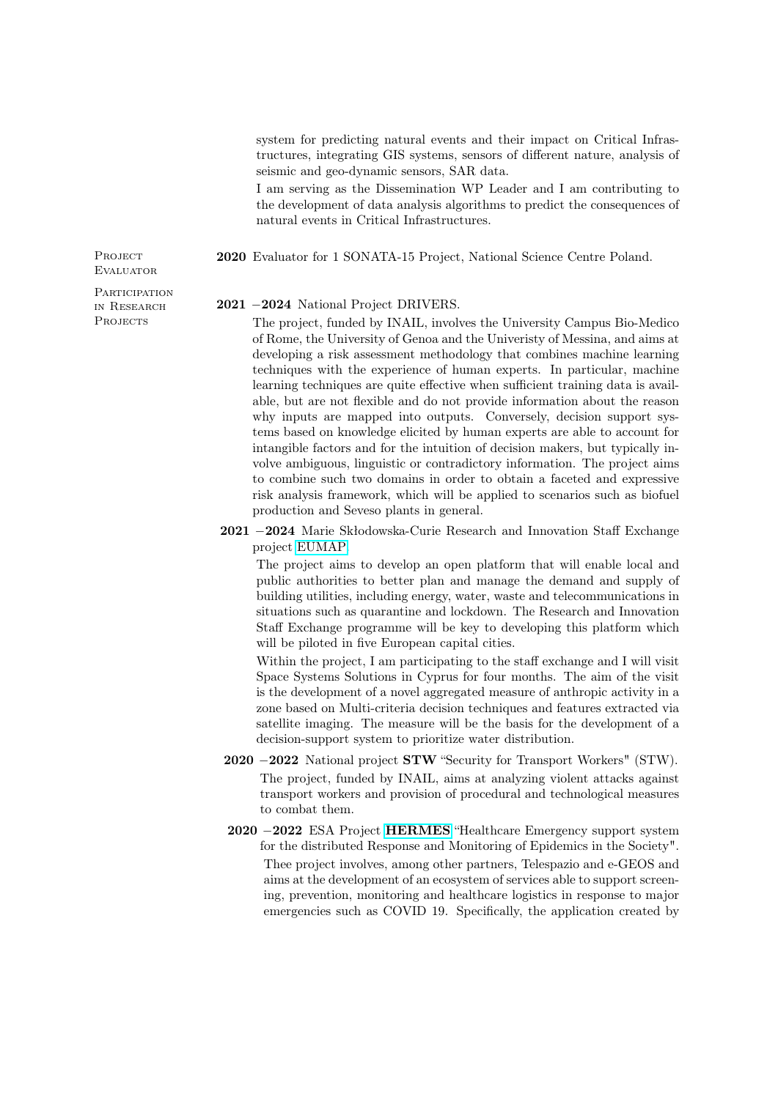system for predicting natural events and their impact on Critical Infrastructures, integrating GIS systems, sensors of different nature, analysis of seismic and geo-dynamic sensors, SAR data.

I am serving as the Dissemination WP Leader and I am contributing to the development of data analysis algorithms to predict the consequences of natural events in Critical Infrastructures.

2020 Evaluator for 1 SONATA-15 Project, National Science Centre Poland.

PROJECT **EVALUATOR** 

**PARTICIPATION** in Research **PROJECTS** 

#### 2021 −2024 National Project DRIVERS.

The project, funded by INAIL, involves the University Campus Bio-Medico of Rome, the University of Genoa and the Univeristy of Messina, and aims at developing a risk assessment methodology that combines machine learning techniques with the experience of human experts. In particular, machine learning techniques are quite effective when sufficient training data is available, but are not flexible and do not provide information about the reason why inputs are mapped into outputs. Conversely, decision support systems based on knowledge elicited by human experts are able to account for intangible factors and for the intuition of decision makers, but typically involve ambiguous, linguistic or contradictory information. The project aims to combine such two domains in order to obtain a faceted and expressive risk analysis framework, which will be applied to scenarios such as biofuel production and Seveso plants in general.

2021 −2024 Marie Skłodowska-Curie Research and Innovation Staff Exchange project [EUMAP.](https://cordis.europa.eu/project/id/101007641/it)

The project aims to develop an open platform that will enable local and public authorities to better plan and manage the demand and supply of building utilities, including energy, water, waste and telecommunications in situations such as quarantine and lockdown. The Research and Innovation Staff Exchange programme will be key to developing this platform which will be piloted in five European capital cities.

Within the project, I am participating to the staff exchange and I will visit Space Systems Solutions in Cyprus for four months. The aim of the visit is the development of a novel aggregated measure of anthropic activity in a zone based on Multi-criteria decision techniques and features extracted via satellite imaging. The measure will be the basis for the development of a decision-support system to prioritize water distribution.

- 2020 −2022 National project STW "Security for Transport Workers" (STW). The project, funded by INAIL, aims at analyzing violent attacks against transport workers and provision of procedural and technological measures to combat them.
- 2020 −2022 ESA Project [HERMES](https://business.esa.int/projects/hermes) "Healthcare Emergency support system for the distributed Response and Monitoring of Epidemics in the Society". Thee project involves, among other partners, Telespazio and e-GEOS and aims at the development of an ecosystem of services able to support screening, prevention, monitoring and healthcare logistics in response to major emergencies such as COVID 19. Specifically, the application created by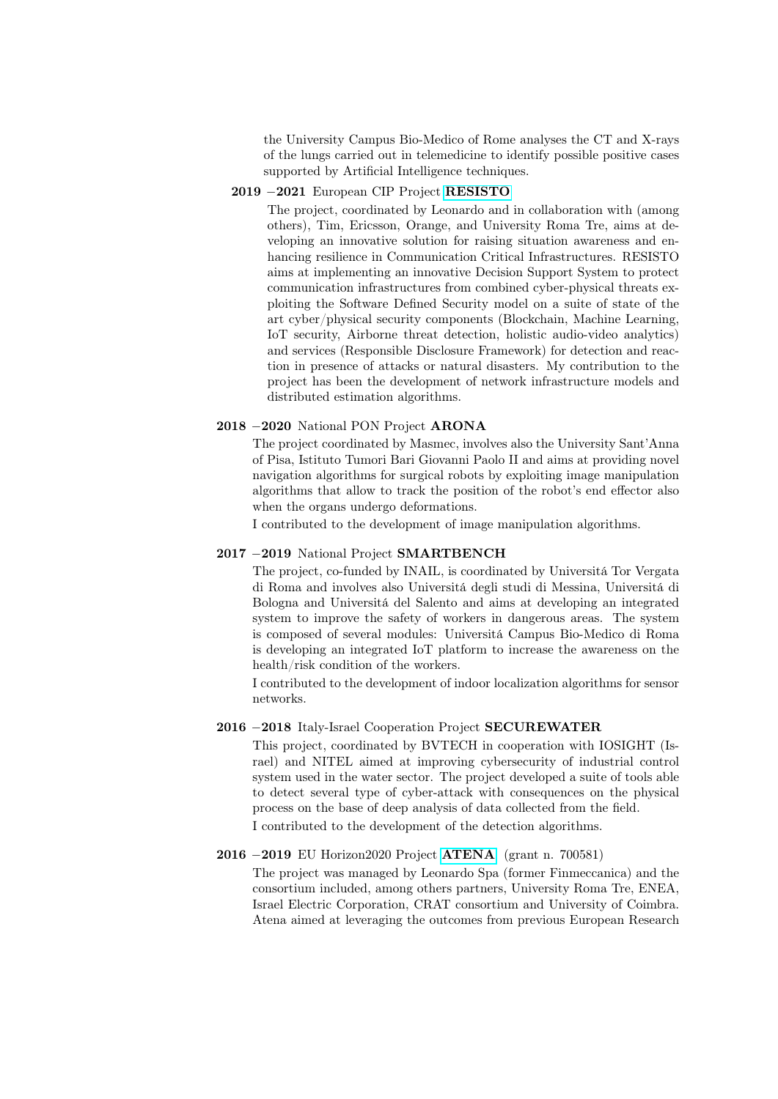the University Campus Bio-Medico of Rome analyses the CT and X-rays of the lungs carried out in telemedicine to identify possible positive cases supported by Artificial Intelligence techniques.

## 2019 −2021 European CIP Project [RESISTO](http://www.resistoproject.eu/resisto/)

The project, coordinated by Leonardo and in collaboration with (among others), Tim, Ericsson, Orange, and University Roma Tre, aims at developing an innovative solution for raising situation awareness and enhancing resilience in Communication Critical Infrastructures. RESISTO aims at implementing an innovative Decision Support System to protect communication infrastructures from combined cyber-physical threats exploiting the Software Defined Security model on a suite of state of the art cyber/physical security components (Blockchain, Machine Learning, IoT security, Airborne threat detection, holistic audio-video analytics) and services (Responsible Disclosure Framework) for detection and reaction in presence of attacks or natural disasters. My contribution to the project has been the development of network infrastructure models and distributed estimation algorithms.

## 2018 −2020 National PON Project ARONA

The project coordinated by Masmec, involves also the University Sant'Anna of Pisa, Istituto Tumori Bari Giovanni Paolo II and aims at providing novel navigation algorithms for surgical robots by exploiting image manipulation algorithms that allow to track the position of the robot's end effector also when the organs undergo deformations.

I contributed to the development of image manipulation algorithms.

## 2017 −2019 National Project SMARTBENCH

The project, co-funded by INAIL, is coordinated by Universitá Tor Vergata di Roma and involves also Universitá degli studi di Messina, Universitá di Bologna and Universitá del Salento and aims at developing an integrated system to improve the safety of workers in dangerous areas. The system is composed of several modules: Universitá Campus Bio-Medico di Roma is developing an integrated IoT platform to increase the awareness on the health/risk condition of the workers.

I contributed to the development of indoor localization algorithms for sensor networks.

## 2016 −2018 Italy-Israel Cooperation Project SECUREWATER

This project, coordinated by BVTECH in cooperation with IOSIGHT (Israel) and NITEL aimed at improving cybersecurity of industrial control system used in the water sector. The project developed a suite of tools able to detect several type of cyber-attack with consequences on the physical process on the base of deep analysis of data collected from the field.

I contributed to the development of the detection algorithms.

## 2016 −2019 EU Horizon2020 Project [ATENA](https://www.atena-h2020.eu) (grant n. 700581)

The project was managed by Leonardo Spa (former Finmeccanica) and the consortium included, among others partners, University Roma Tre, ENEA, Israel Electric Corporation, CRAT consortium and University of Coimbra. Atena aimed at leveraging the outcomes from previous European Research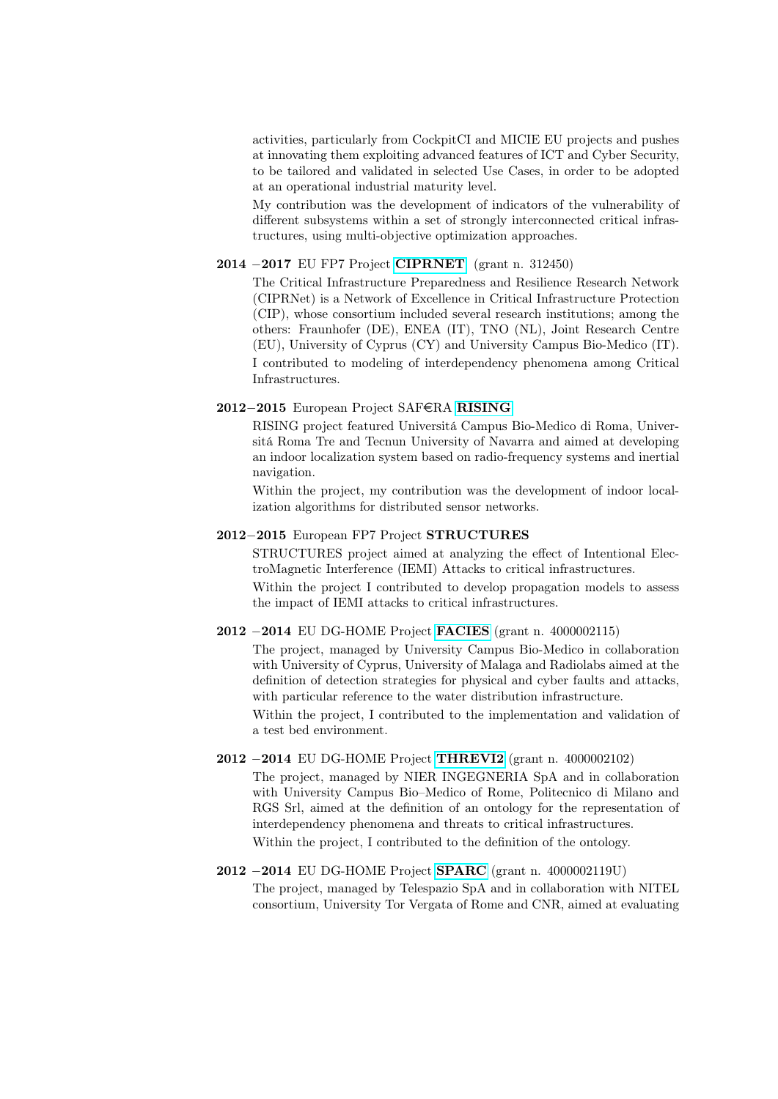activities, particularly from CockpitCI and MICIE EU projects and pushes at innovating them exploiting advanced features of ICT and Cyber Security, to be tailored and validated in selected Use Cases, in order to be adopted at an operational industrial maturity level.

My contribution was the development of indicators of the vulnerability of different subsystems within a set of strongly interconnected critical infrastructures, using multi-objective optimization approaches.

## 2014 −2017 EU FP7 Project [CIPRNET](http://www.ciprnet.eu) (grant n. 312450)

The Critical Infrastructure Preparedness and Resilience Research Network (CIPRNet) is a Network of Excellence in Critical Infrastructure Protection (CIP), whose consortium included several research institutions; among the others: Fraunhofer (DE), ENEA (IT), TNO (NL), Joint Research Centre (EU), University of Cyprus (CY) and University Campus Bio-Medico (IT). I contributed to modeling of interdependency phenomena among Critical Infrastructures.

## 2012−2015 European Project SAFeRA [RISING](https://projects.safera.eu/project/18)

RISING project featured Universitá Campus Bio-Medico di Roma, Universitá Roma Tre and Tecnun University of Navarra and aimed at developing an indoor localization system based on radio-frequency systems and inertial navigation.

Within the project, my contribution was the development of indoor localization algorithms for distributed sensor networks.

## 2012−2015 European FP7 Project STRUCTURES

STRUCTURES project aimed at analyzing the effect of Intentional ElectroMagnetic Interference (IEMI) Attacks to critical infrastructures.

Within the project I contributed to develop propagation models to assess the impact of IEMI attacks to critical infrastructures.

## 2012 −2014 EU DG-HOME Project [FACIES](http://facies.dia.uniroma3.it/) (grant n. 4000002115)

The project, managed by University Campus Bio-Medico in collaboration with University of Cyprus, University of Malaga and Radiolabs aimed at the definition of detection strategies for physical and cyber faults and attacks, with particular reference to the water distribution infrastructure.

Within the project, I contributed to the implementation and validation of a test bed environment.

## 2012 −2014 EU DG-HOME Project [THREVI2](www.threvi2.eu) (grant n. 4000002102)

The project, managed by NIER INGEGNERIA SpA and in collaboration with University Campus Bio–Medico of Rome, Politecnico di Milano and RGS Srl, aimed at the definition of an ontology for the representation of interdependency phenomena and threats to critical infrastructures. Within the project, I contributed to the definition of the ontology.

## 2012 −2014 EU DG-HOME Project [SPARC](www.sparc-project.eu) (grant n. 4000002119U)

The project, managed by Telespazio SpA and in collaboration with NITEL consortium, University Tor Vergata of Rome and CNR, aimed at evaluating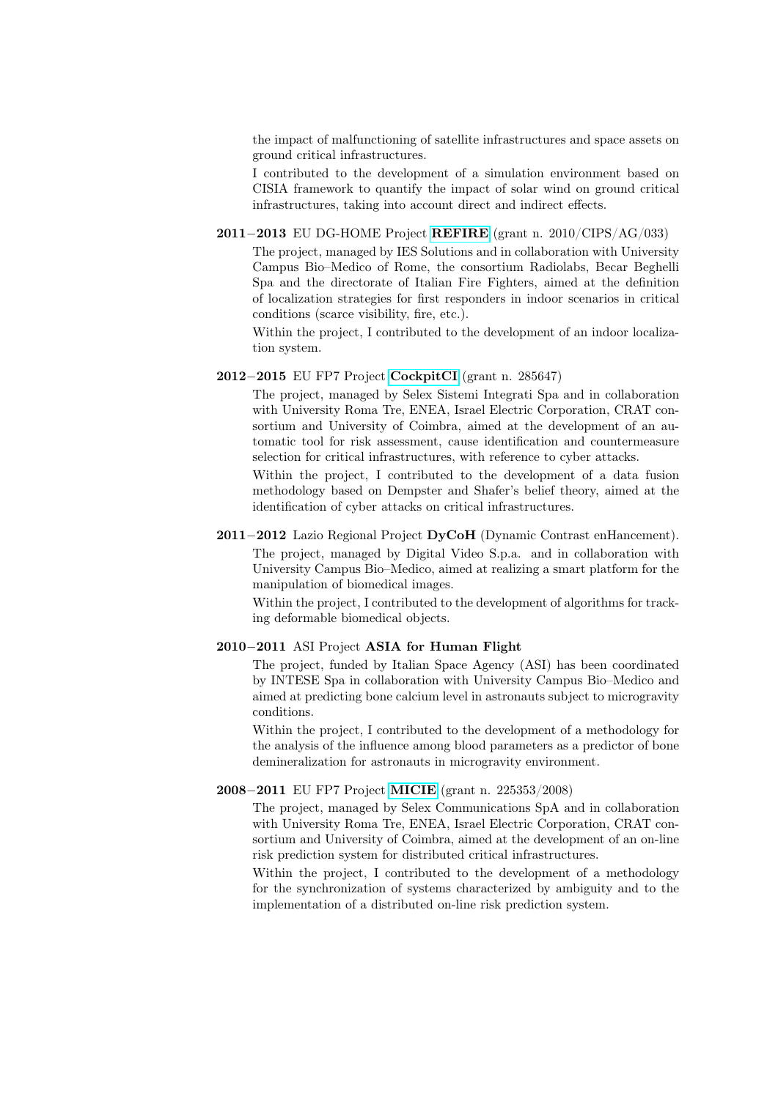the impact of malfunctioning of satellite infrastructures and space assets on ground critical infrastructures.

I contributed to the development of a simulation environment based on CISIA framework to quantify the impact of solar wind on ground critical infrastructures, taking into account direct and indirect effects.

## 2011−2013 EU DG-HOME Project [REFIRE](http://www.refire.org) (grant n. 2010/CIPS/AG/033)

The project, managed by IES Solutions and in collaboration with University Campus Bio–Medico of Rome, the consortium Radiolabs, Becar Beghelli Spa and the directorate of Italian Fire Fighters, aimed at the definition of localization strategies for first responders in indoor scenarios in critical conditions (scarce visibility, fire, etc.).

Within the project, I contributed to the development of an indoor localization system.

### 2012−2015 EU FP7 Project [CockpitCI](http://www.cockpitci.eu/) (grant n. 285647)

The project, managed by Selex Sistemi Integrati Spa and in collaboration with University Roma Tre, ENEA, Israel Electric Corporation, CRAT consortium and University of Coimbra, aimed at the development of an automatic tool for risk assessment, cause identification and countermeasure selection for critical infrastructures, with reference to cyber attacks.

Within the project, I contributed to the development of a data fusion methodology based on Dempster and Shafer's belief theory, aimed at the identification of cyber attacks on critical infrastructures.

## 2011−2012 Lazio Regional Project DyCoH (Dynamic Contrast enHancement).

The project, managed by Digital Video S.p.a. and in collaboration with University Campus Bio–Medico, aimed at realizing a smart platform for the manipulation of biomedical images.

Within the project, I contributed to the development of algorithms for tracking deformable biomedical objects.

## 2010−2011 ASI Project ASIA for Human Flight

The project, funded by Italian Space Agency (ASI) has been coordinated by INTESE Spa in collaboration with University Campus Bio–Medico and aimed at predicting bone calcium level in astronauts subject to microgravity conditions.

Within the project, I contributed to the development of a methodology for the analysis of the influence among blood parameters as a predictor of bone demineralization for astronauts in microgravity environment.

#### 2008−2011 EU FP7 Project [MICIE](http://www.micie.eu/) (grant n. 225353/2008)

The project, managed by Selex Communications SpA and in collaboration with University Roma Tre, ENEA, Israel Electric Corporation, CRAT consortium and University of Coimbra, aimed at the development of an on-line risk prediction system for distributed critical infrastructures.

Within the project, I contributed to the development of a methodology for the synchronization of systems characterized by ambiguity and to the implementation of a distributed on-line risk prediction system.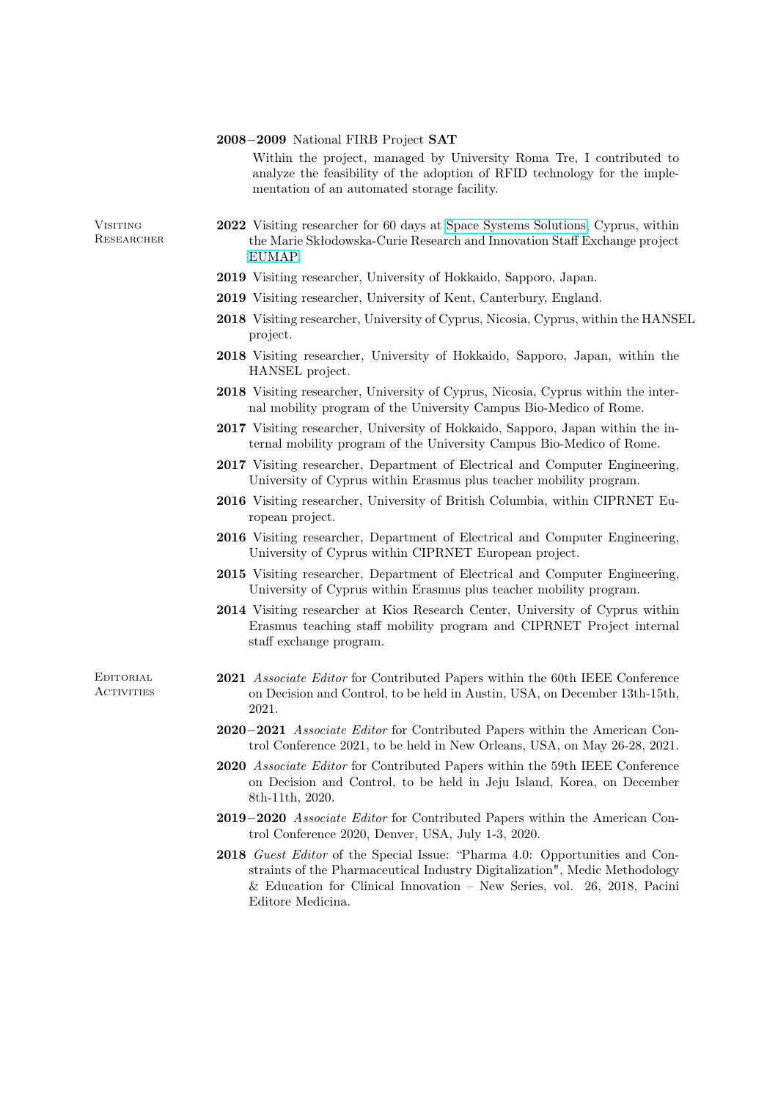#### 2008−2009 National FIRB Project SAT

Within the project, managed by University Roma Tre, I contributed to analyze the feasibility of the adoption of RFID technology for the implementation of an automated storage facility.

**Visiting** Researcher

- 2022 Visiting researcher for 60 days at [Space Systems Solutions,](https://spacesystems.solutions/) Cyprus, within the Marie Skłodowska-Curie Research and Innovation Staff Exchange project [EUMAP.](https://cordis.europa.eu/project/id/101007641/it)
- 2019 Visiting researcher, University of Hokkaido, Sapporo, Japan.
- 2019 Visiting researcher, University of Kent, Canterbury, England.
- 2018 Visiting researcher, University of Cyprus, Nicosia, Cyprus, within the HANSEL project.
- 2018 Visiting researcher, University of Hokkaido, Sapporo, Japan, within the HANSEL project.
- 2018 Visiting researcher, University of Cyprus, Nicosia, Cyprus within the internal mobility program of the University Campus Bio-Medico of Rome.
- 2017 Visiting researcher, University of Hokkaido, Sapporo, Japan within the internal mobility program of the University Campus Bio-Medico of Rome.
- 2017 Visiting researcher, Department of Electrical and Computer Engineering, University of Cyprus within Erasmus plus teacher mobility program.
- 2016 Visiting researcher, University of British Columbia, within CIPRNET European project.
- 2016 Visiting researcher, Department of Electrical and Computer Engineering, University of Cyprus within CIPRNET European project.
- 2015 Visiting researcher, Department of Electrical and Computer Engineering, University of Cyprus within Erasmus plus teacher mobility program.
- 2014 Visiting researcher at Kios Research Center, University of Cyprus within Erasmus teaching staff mobility program and CIPRNET Project internal staff exchange program.

**EDITORIAL ACTIVITIES** 

- 2021 Associate Editor for Contributed Papers within the 60th IEEE Conference on Decision and Control, to be held in Austin, USA, on December 13th-15th, 2021.
- 2020−2021 Associate Editor for Contributed Papers within the American Control Conference 2021, to be held in New Orleans, USA, on May 26-28, 2021.
- 2020 Associate Editor for Contributed Papers within the 59th IEEE Conference on Decision and Control, to be held in Jeju Island, Korea, on December 8th-11th, 2020.
- 2019−2020 Associate Editor for Contributed Papers within the American Control Conference 2020, Denver, USA, July 1-3, 2020.
- 2018 Guest Editor of the Special Issue: "Pharma 4.0: Opportunities and Constraints of the Pharmaceutical Industry Digitalization", Medic Methodology & Education for Clinical Innovation – New Series, vol. 26, 2018, Pacini Editore Medicina.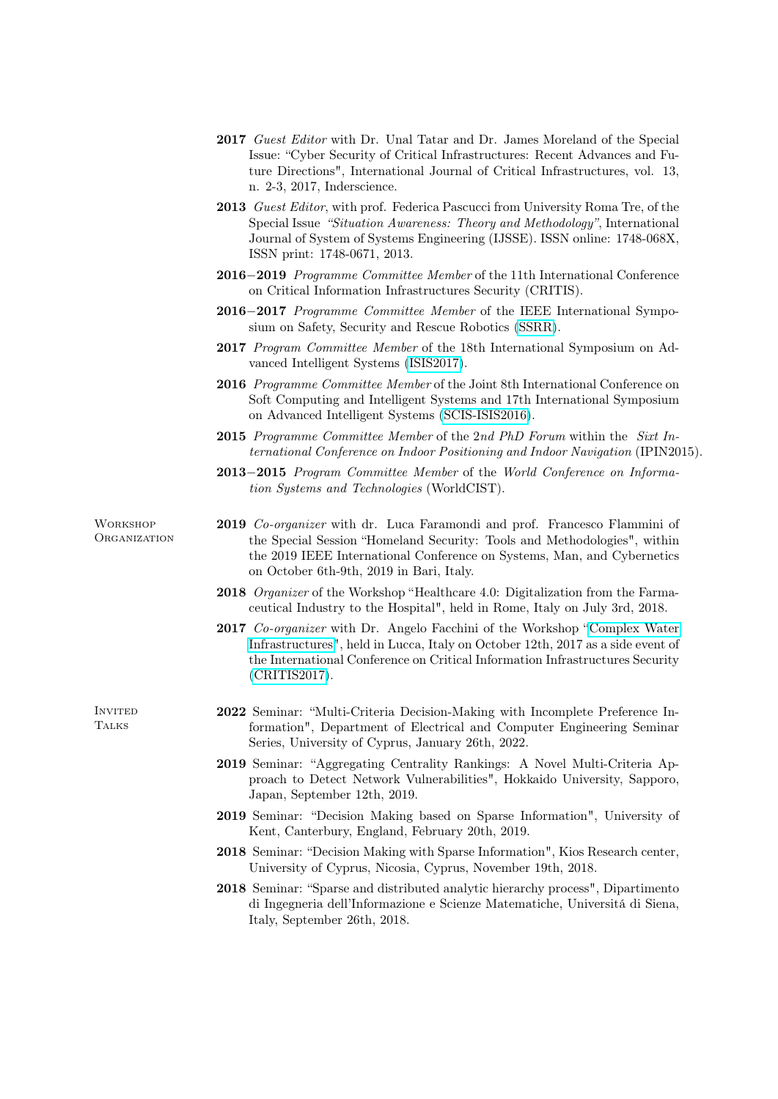- 2017 Guest Editor with Dr. Unal Tatar and Dr. James Moreland of the Special Issue: "Cyber Security of Critical Infrastructures: Recent Advances and Future Directions", International Journal of Critical Infrastructures, vol. 13, n. 2-3, 2017, Inderscience.
- 2013 Guest Editor, with prof. Federica Pascucci from University Roma Tre, of the Special Issue "Situation Awareness: Theory and Methodology", International Journal of System of Systems Engineering (IJSSE). ISSN online: 1748-068X, ISSN print: 1748-0671, 2013.
- 2016−2019 Programme Committee Member of the 11th International Conference on Critical Information Infrastructures Security (CRITIS).
- 2016−2017 *Programme Committee Member* of the IEEE International Symposium on Safety, Security and Rescue Robotics [\(SSRR\)](http://ssrrobotics.org/).
- 2017 Program Committee Member of the 18th International Symposium on Advanced Intelligent Systems [\(ISIS2017\)](http://isis2017.org/).
- 2016 Programme Committee Member of the Joint 8th International Conference on Soft Computing and Intelligent Systems and 17th International Symposium on Advanced Intelligent Systems [\(SCIS-ISIS2016\)](http://scis2016.j-soft.org).
- 2015 Programme Committee Member of the 2nd PhD Forum within the Sixt International Conference on Indoor Positioning and Indoor Navigation (IPIN2015).
- 2013−2015 Program Committee Member of the World Conference on Information Systems and Technologies (WorldCIST).

**WORKSHOP ORGANIZATION** 

- 2019 Co-organizer with dr. Luca Faramondi and prof. Francesco Flammini of the Special Session "Homeland Security: Tools and Methodologies", within the 2019 IEEE International Conference on Systems, Man, and Cybernetics on October 6th-9th, 2019 in Bari, Italy.
- 2018 *Organizer* of the Workshop "Healthcare 4.0: Digitalization from the Farmaceutical Industry to the Hospital", held in Rome, Italy on July 3rd, 2018.
- 2017 Co-organizer with Dr. Angelo Facchini of the Workshop ["Complex Water](https://sites.google.com/site/complexwaterinfrastructures17/) [Infrastructures"](https://sites.google.com/site/complexwaterinfrastructures17/), held in Lucca, Italy on October 12th, 2017 as a side event of the International Conference on Critical Information Infrastructures Security [\(CRITIS2017\)](http://www.critis2017.org/index.php).
- **INVITED TALKS**
- 2022 Seminar: "Multi-Criteria Decision-Making with Incomplete Preference Information", Department of Electrical and Computer Engineering Seminar Series, University of Cyprus, January 26th, 2022.
- 2019 Seminar: "Aggregating Centrality Rankings: A Novel Multi-Criteria Approach to Detect Network Vulnerabilities", Hokkaido University, Sapporo, Japan, September 12th, 2019.
- 2019 Seminar: "Decision Making based on Sparse Information", University of Kent, Canterbury, England, February 20th, 2019.
- 2018 Seminar: "Decision Making with Sparse Information", Kios Research center, University of Cyprus, Nicosia, Cyprus, November 19th, 2018.
- 2018 Seminar: "Sparse and distributed analytic hierarchy process", Dipartimento di Ingegneria dell'Informazione e Scienze Matematiche, Universitá di Siena, Italy, September 26th, 2018.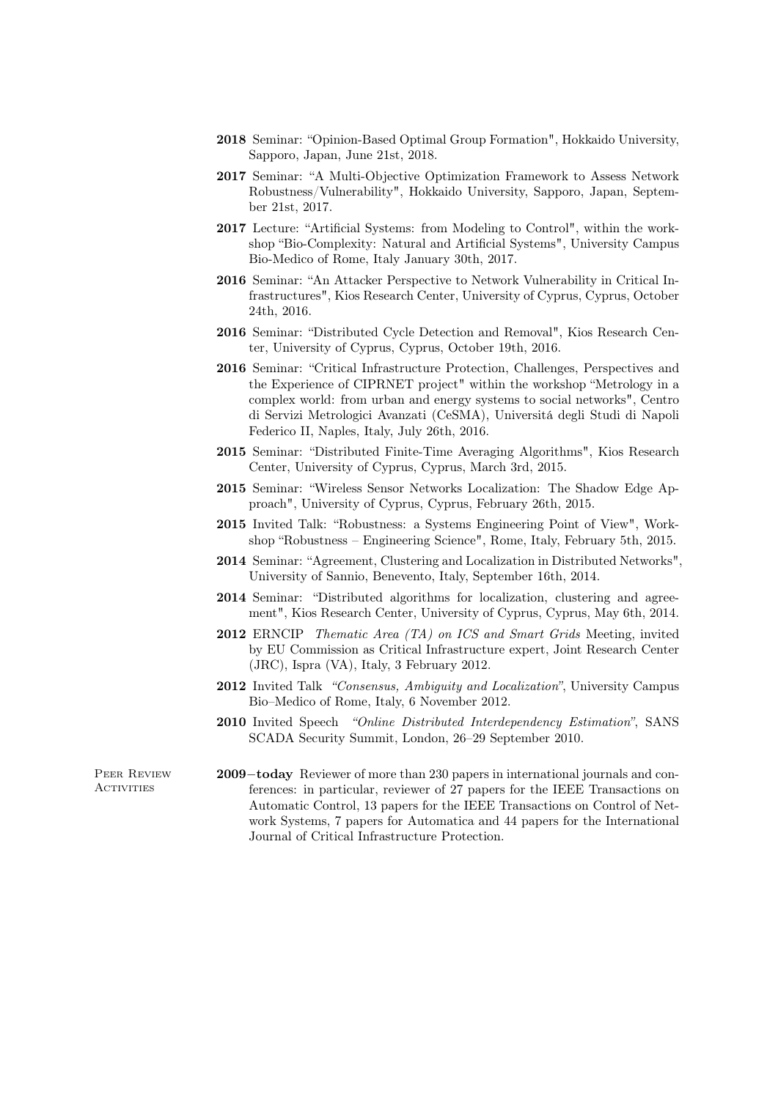- 2018 Seminar: "Opinion-Based Optimal Group Formation", Hokkaido University, Sapporo, Japan, June 21st, 2018.
- 2017 Seminar: "A Multi-Objective Optimization Framework to Assess Network Robustness/Vulnerability", Hokkaido University, Sapporo, Japan, September 21st, 2017.
- 2017 Lecture: "Artificial Systems: from Modeling to Control", within the workshop "Bio-Complexity: Natural and Artificial Systems", University Campus Bio-Medico of Rome, Italy January 30th, 2017.
- 2016 Seminar: "An Attacker Perspective to Network Vulnerability in Critical Infrastructures", Kios Research Center, University of Cyprus, Cyprus, October 24th, 2016.
- 2016 Seminar: "Distributed Cycle Detection and Removal", Kios Research Center, University of Cyprus, Cyprus, October 19th, 2016.
- 2016 Seminar: "Critical Infrastructure Protection, Challenges, Perspectives and the Experience of CIPRNET project" within the workshop "Metrology in a complex world: from urban and energy systems to social networks", Centro di Servizi Metrologici Avanzati (CeSMA), Universitá degli Studi di Napoli Federico II, Naples, Italy, July 26th, 2016.
- 2015 Seminar: "Distributed Finite-Time Averaging Algorithms", Kios Research Center, University of Cyprus, Cyprus, March 3rd, 2015.
- 2015 Seminar: "Wireless Sensor Networks Localization: The Shadow Edge Approach", University of Cyprus, Cyprus, February 26th, 2015.
- 2015 Invited Talk: "Robustness: a Systems Engineering Point of View", Workshop "Robustness – Engineering Science", Rome, Italy, February 5th, 2015.
- 2014 Seminar: "Agreement, Clustering and Localization in Distributed Networks", University of Sannio, Benevento, Italy, September 16th, 2014.
- 2014 Seminar: "Distributed algorithms for localization, clustering and agreement", Kios Research Center, University of Cyprus, Cyprus, May 6th, 2014.
- 2012 ERNCIP Thematic Area (TA) on ICS and Smart Grids Meeting, invited by EU Commission as Critical Infrastructure expert, Joint Research Center (JRC), Ispra (VA), Italy, 3 February 2012.
- 2012 Invited Talk "Consensus, Ambiguity and Localization", University Campus Bio–Medico of Rome, Italy, 6 November 2012.
- 2010 Invited Speech "Online Distributed Interdependency Estimation", SANS SCADA Security Summit, London, 26–29 September 2010.

Peer Review **ACTIVITIES** 

2009−today Reviewer of more than 230 papers in international journals and conferences: in particular, reviewer of 27 papers for the IEEE Transactions on Automatic Control, 13 papers for the IEEE Transactions on Control of Network Systems, 7 papers for Automatica and 44 papers for the International Journal of Critical Infrastructure Protection.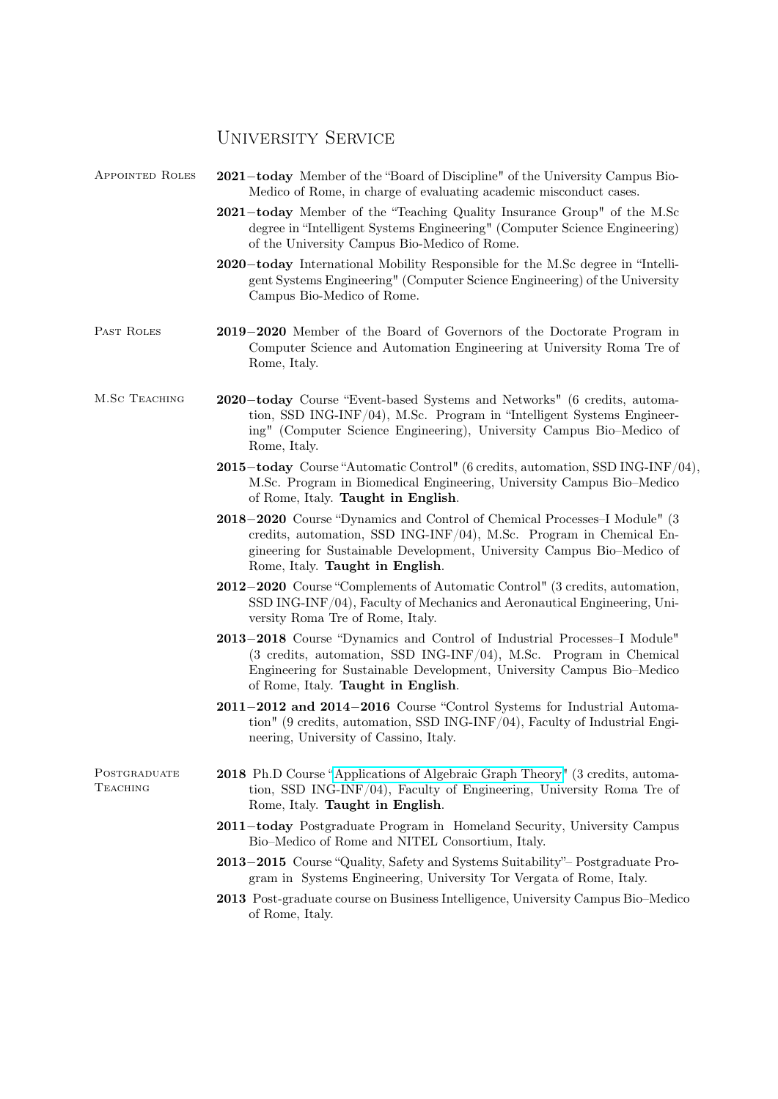# UNIVERSITY SERVICE

| <b>APPOINTED ROLES</b>   | 2021-today Member of the "Board of Discipline" of the University Campus Bio-<br>Medico of Rome, in charge of evaluating academic misconduct cases.                                                                                                            |
|--------------------------|---------------------------------------------------------------------------------------------------------------------------------------------------------------------------------------------------------------------------------------------------------------|
|                          | 2021-today Member of the "Teaching Quality Insurance Group" of the M.Sc<br>degree in "Intelligent Systems Engineering" (Computer Science Engineering)<br>of the University Campus Bio-Medico of Rome.                                                         |
|                          | 2020-today International Mobility Responsible for the M.Sc degree in "Intelli-<br>gent Systems Engineering" (Computer Science Engineering) of the University<br>Campus Bio-Medico of Rome.                                                                    |
| PAST ROLES               | 2019–2020 Member of the Board of Governors of the Doctorate Program in<br>Computer Science and Automation Engineering at University Roma Tre of<br>Rome, Italy.                                                                                               |
| M.SC TEACHING            | 2020-today Course "Event-based Systems and Networks" (6 credits, automa-<br>tion, SSD ING-INF/04), M.Sc. Program in "Intelligent Systems Engineer-<br>ing" (Computer Science Engineering), University Campus Bio-Medico of<br>Rome, Italy.                    |
|                          | 2015-today Course "Automatic Control" (6 credits, automation, SSD ING-INF/04),<br>M.Sc. Program in Biomedical Engineering, University Campus Bio-Medico<br>of Rome, Italy. Taught in English.                                                                 |
|                          | 2018–2020 Course "Dynamics and Control of Chemical Processes-I Module" (3<br>credits, automation, SSD ING-INF/04), M.Sc. Program in Chemical En-<br>gineering for Sustainable Development, University Campus Bio-Medico of<br>Rome, Italy. Taught in English. |
|                          | 2012–2020 Course "Complements of Automatic Control" (3 credits, automation,<br>SSD ING-INF/04), Faculty of Mechanics and Aeronautical Engineering, Uni-<br>versity Roma Tre of Rome, Italy.                                                                   |
|                          | 2013–2018 Course "Dynamics and Control of Industrial Processes-I Module"<br>(3 credits, automation, SSD ING-INF/04), M.Sc. Program in Chemical<br>Engineering for Sustainable Development, University Campus Bio-Medico<br>of Rome, Italy. Taught in English. |
|                          | 2011–2012 and 2014–2016 Course "Control Systems for Industrial Automa-<br>tion" (9 credits, automation, SSD ING-INF/04), Faculty of Industrial Engi-<br>neering, University of Cassino, Italy.                                                                |
| POSTGRADUATE<br>Teaching | <b>2018</b> Ph.D Course "Applications of Algebraic Graph Theory" (3 credits, automa-<br>tion, SSD ING-INF/04), Faculty of Engineering, University Roma Tre of<br>Rome, Italy. Taught in English.                                                              |
|                          | 2011-today Postgraduate Program in Homeland Security, University Campus<br>Bio-Medico of Rome and NITEL Consortium, Italy.                                                                                                                                    |
|                          | 2013–2015 Course "Quality, Safety and Systems Suitability" Postgraduate Pro-<br>gram in Systems Engineering, University Tor Vergata of Rome, Italy.                                                                                                           |
|                          | 2013 Post-graduate course on Business Intelligence, University Campus Bio–Medico<br>of Rome, Italy.                                                                                                                                                           |
|                          |                                                                                                                                                                                                                                                               |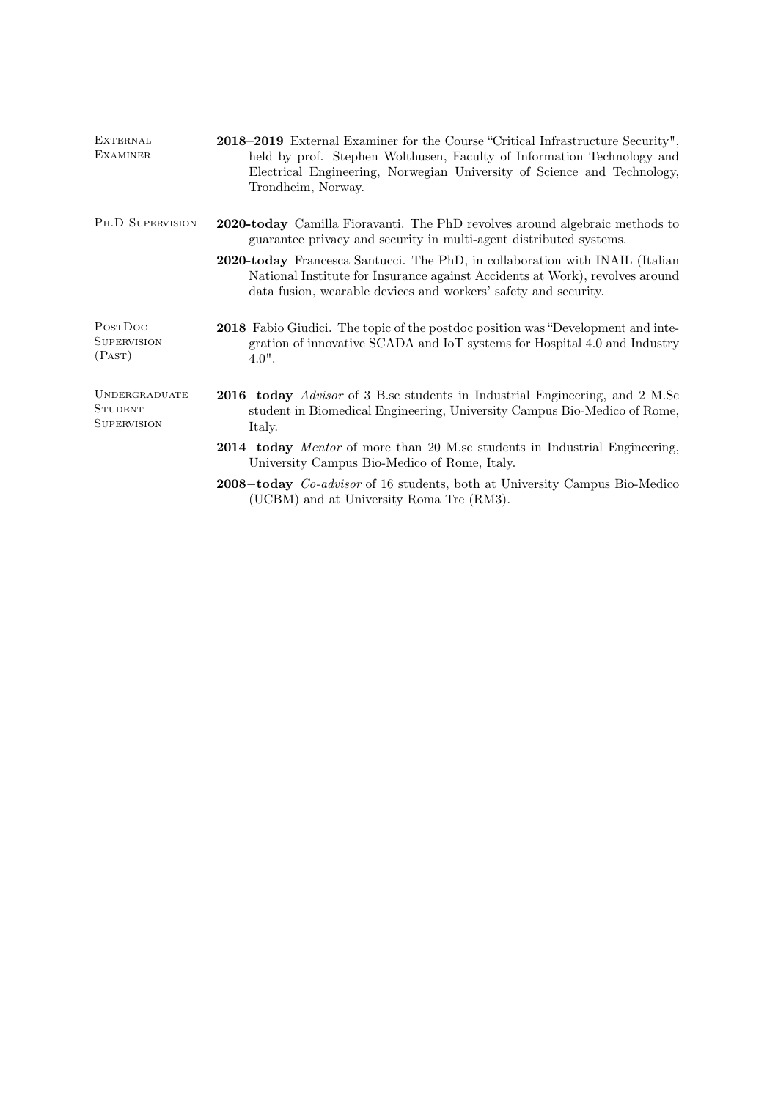| <b>EXTERNAL</b><br><b>EXAMINER</b>                           | 2018–2019 External Examiner for the Course "Critical Infrastructure Security",<br>held by prof. Stephen Wolthusen, Faculty of Information Technology and<br>Electrical Engineering, Norwegian University of Science and Technology,<br>Trondheim, Norway. |
|--------------------------------------------------------------|-----------------------------------------------------------------------------------------------------------------------------------------------------------------------------------------------------------------------------------------------------------|
| PH.D SUPERVISION                                             | 2020-today Camilla Fioravanti. The PhD revolves around algebraic methods to<br>guarantee privacy and security in multi-agent distributed systems.                                                                                                         |
|                                                              | 2020-today Francesca Santucci. The PhD, in collaboration with INAIL (Italian<br>National Institute for Insurance against Accidents at Work), revolves around<br>data fusion, wearable devices and workers' safety and security.                           |
| PostDoc<br><b>SUPERVISION</b><br>(PAST)                      | <b>2018</b> Fabio Giudici. The topic of the postdoc position was "Development and inte-<br>gration of innovative SCADA and IoT systems for Hospital 4.0 and Industry<br>$4.0$ ".                                                                          |
| <b>UNDERGRADUATE</b><br><b>STUDENT</b><br><b>SUPERVISION</b> | <b>2016–today</b> Advisor of 3 B.sc students in Industrial Engineering, and 2 M.Sc<br>student in Biomedical Engineering, University Campus Bio-Medico of Rome,<br>Italy.                                                                                  |
|                                                              | <b>2014–today</b> Mentor of more than 20 M.sc students in Industrial Engineering,<br>University Campus Bio-Medico of Rome, Italy.                                                                                                                         |
|                                                              | 2008–today <i>Co-advisor</i> of 16 students, both at University Campus Bio-Medico<br>(UCBM) and at University Roma Tre (RM3).                                                                                                                             |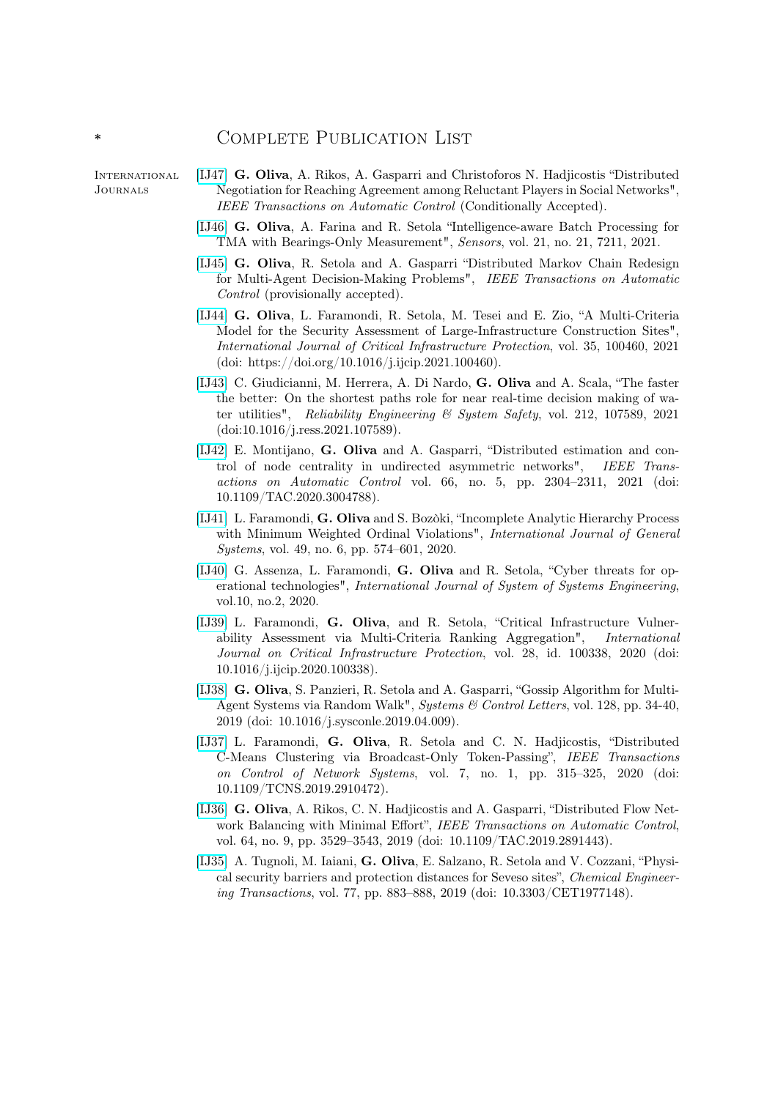## \* Complete Publication List

INTERNATIONAL Journals

- [\[IJ47\]](http:\) G. Oliva, A. Rikos, A. Gasparri and Christoforos N. Hadjicostis "Distributed Negotiation for Reaching Agreement among Reluctant Players in Social Networks", IEEE Transactions on Automatic Control (Conditionally Accepted).
	- [\[IJ46\]](http:\) G. Oliva, A. Farina and R. Setola "Intelligence-aware Batch Processing for TMA with Bearings-Only Measurement", Sensors, vol. 21, no. 21, 7211, 2021.
	- [\[IJ45\]](http:\) G. Oliva, R. Setola and A. Gasparri "Distributed Markov Chain Redesign for Multi-Agent Decision-Making Problems", IEEE Transactions on Automatic Control (provisionally accepted).
	- [\[IJ44\]](http:\) G. Oliva, L. Faramondi, R. Setola, M. Tesei and E. Zio, "A Multi-Criteria Model for the Security Assessment of Large-Infrastructure Construction Sites", International Journal of Critical Infrastructure Protection, vol. 35, 100460, 2021 (doi: https://doi.org/10.1016/j.ijcip.2021.100460).
	- [\[IJ43\]](http:\) C. Giudicianni, M. Herrera, A. Di Nardo, G. Oliva and A. Scala, "The faster the better: On the shortest paths role for near real-time decision making of water utilities", Reliability Engineering & System Safety, vol. 212, 107589, 2021 (doi:10.1016/j.ress.2021.107589).
	- [\[IJ42\]](http:\) E. Montijano, G. Oliva and A. Gasparri, "Distributed estimation and control of node centrality in undirected asymmetric networks", IEEE Transactions on Automatic Control vol. 66, no. 5, pp. 2304–2311, 2021 (doi: 10.1109/TAC.2020.3004788).
	- [\[IJ41\]](http:\) L. Faramondi, G. Oliva and S. Bozòki, "Incomplete Analytic Hierarchy Process with Minimum Weighted Ordinal Violations", *International Journal of General* Systems, vol. 49, no. 6, pp. 574–601, 2020.
	- [\[IJ40\]](http:\) G. Assenza, L. Faramondi, G. Oliva and R. Setola, "Cyber threats for operational technologies", International Journal of System of Systems Engineering, vol.10, no.2, 2020.
	- [\[IJ39\]](http:\) L. Faramondi, G. Oliva, and R. Setola, "Critical Infrastructure Vulnerability Assessment via Multi-Criteria Ranking Aggregation", International Journal on Critical Infrastructure Protection, vol. 28, id. 100338, 2020 (doi: 10.1016/j.ijcip.2020.100338).
	- [\[IJ38\]](http:\) G. Oliva, S. Panzieri, R. Setola and A. Gasparri, "Gossip Algorithm for Multi-Agent Systems via Random Walk", Systems & Control Letters, vol. 128, pp. 34-40, 2019 (doi: 10.1016/j.sysconle.2019.04.009).
	- [\[IJ37\]](http:\) L. Faramondi, G. Oliva, R. Setola and C. N. Hadjicostis, "Distributed C-Means Clustering via Broadcast-Only Token-Passing", IEEE Transactions on Control of Network Systems, vol. 7, no. 1, pp. 315–325, 2020 (doi: 10.1109/TCNS.2019.2910472).
	- [\[IJ36\]](http:\) G. Oliva, A. Rikos, C. N. Hadjicostis and A. Gasparri, "Distributed Flow Network Balancing with Minimal Effort", IEEE Transactions on Automatic Control, vol. 64, no. 9, pp. 3529–3543, 2019 (doi: 10.1109/TAC.2019.2891443).
	- [\[IJ35\]](http:\) A. Tugnoli, M. Iaiani, G. Oliva, E. Salzano, R. Setola and V. Cozzani, "Physical security barriers and protection distances for Seveso sites", Chemical Engineering Transactions, vol. 77, pp. 883–888, 2019 (doi: 10.3303/CET1977148).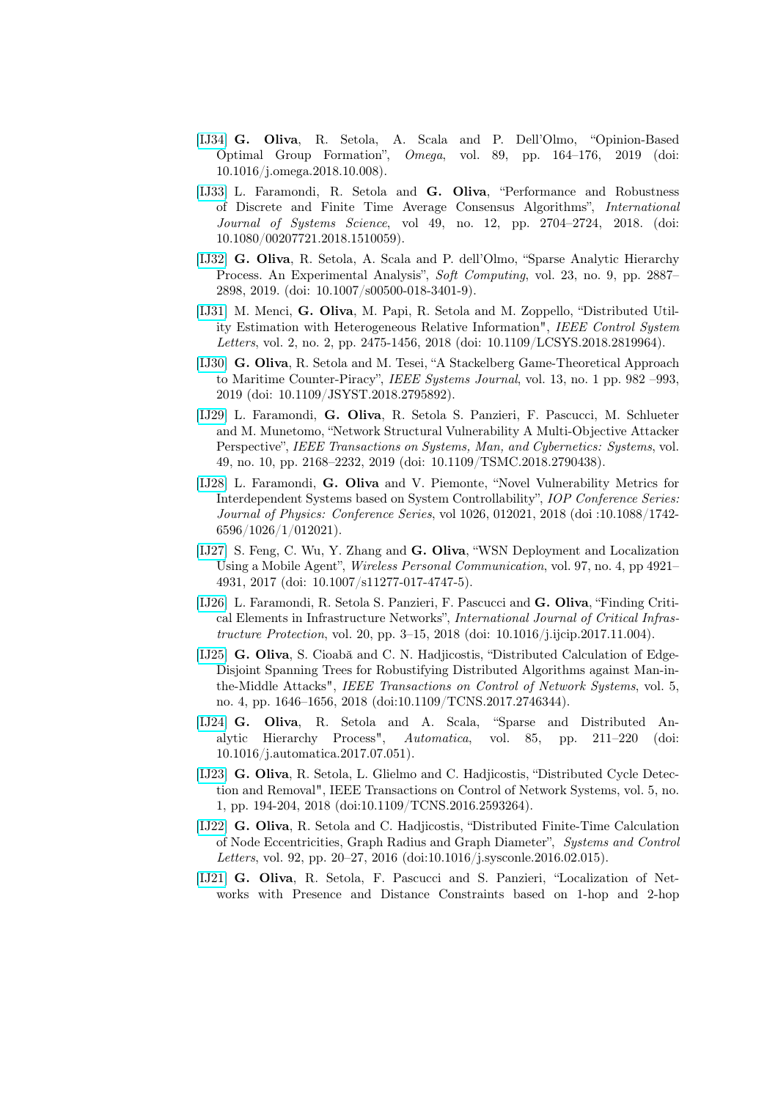- [\[IJ34\]](http:\) G. Oliva, R. Setola, A. Scala and P. Dell'Olmo, "Opinion-Based Optimal Group Formation", Omega, vol. 89, pp. 164–176, 2019 (doi: 10.1016/j.omega.2018.10.008).
- [\[IJ33\]](http:\) L. Faramondi, R. Setola and G. Oliva, "Performance and Robustness of Discrete and Finite Time Average Consensus Algorithms", International Journal of Systems Science, vol 49, no. 12, pp. 2704–2724, 2018. (doi: 10.1080/00207721.2018.1510059).
- [\[IJ32\]](http:\) G. Oliva, R. Setola, A. Scala and P. dell'Olmo, "Sparse Analytic Hierarchy Process. An Experimental Analysis", Soft Computing, vol. 23, no. 9, pp. 2887– 2898, 2019. (doi: 10.1007/s00500-018-3401-9).
- [\[IJ31\]](https://ieeexplore.ieee.org/document/8326514/) M. Menci, G. Oliva, M. Papi, R. Setola and M. Zoppello, "Distributed Utility Estimation with Heterogeneous Relative Information", IEEE Control System Letters, vol. 2, no. 2, pp. 2475-1456, 2018 (doi: 10.1109/LCSYS.2018.2819964).
- [\[IJ30\]](https://ieeexplore.ieee.org/document/8290834/) G. Oliva, R. Setola and M. Tesei, "A Stackelberg Game-Theoretical Approach to Maritime Counter-Piracy", IEEE Systems Journal, vol. 13, no. 1 pp. 982 –993, 2019 (doi: 10.1109/JSYST.2018.2795892).
- [\[IJ29\]](https://ieeexplore.ieee.org/document/8275029/) L. Faramondi, G. Oliva, R. Setola S. Panzieri, F. Pascucci, M. Schlueter and M. Munetomo, "Network Structural Vulnerability A Multi-Objective Attacker Perspective", IEEE Transactions on Systems, Man, and Cybernetics: Systems, vol. 49, no. 10, pp. 2168–2232, 2019 (doi: 10.1109/TSMC.2018.2790438).
- [\[IJ28\]](http:\) L. Faramondi, G. Oliva and V. Piemonte, "Novel Vulnerability Metrics for Interdependent Systems based on System Controllability", IOP Conference Series: Journal of Physics: Conference Series, vol 1026, 012021, 2018 (doi :10.1088/1742- 6596/1026/1/012021).
- [\[IJ27\]](https://link.springer.com/article/10.1007%2Fs11277-017-4747-5) S. Feng, C. Wu, Y. Zhang and G. Oliva, "WSN Deployment and Localization Using a Mobile Agent", Wireless Personal Communication, vol. 97, no. 4, pp 4921– 4931, 2017 (doi: 10.1007/s11277-017-4747-5).
- [\[IJ26\]](https://www.sciencedirect.com/science/article/pii/S1874548217300914) L. Faramondi, R. Setola S. Panzieri, F. Pascucci and G. Oliva, "Finding Critical Elements in Infrastructure Networks", International Journal of Critical Infrastructure Protection, vol. 20, pp. 3–15, 2018 (doi: 10.1016/j.ijcip.2017.11.004).
- [\[IJ25\]](http://) G. Oliva, S. Cioabă and C. N. Hadjicostis, "Distributed Calculation of Edge-Disjoint Spanning Trees for Robustifying Distributed Algorithms against Man-inthe-Middle Attacks", IEEE Transactions on Control of Network Systems, vol. 5, no. 4, pp. 1646–1656, 2018 (doi:10.1109/TCNS.2017.2746344).
- [\[IJ24\]](http://) G. Oliva, R. Setola and A. Scala, "Sparse and Distributed Analytic Hierarchy Process", Automatica, vol. 85, pp. 211–220 (doi: 10.1016/j.automatica.2017.07.051).
- [\[IJ23\]](http://) G. Oliva, R. Setola, L. Glielmo and C. Hadjicostis, "Distributed Cycle Detection and Removal", IEEE Transactions on Control of Network Systems, vol. 5, no. 1, pp. 194-204, 2018 (doi:10.1109/TCNS.2016.2593264).
- [\[IJ22\]](http:\) G. Oliva, R. Setola and C. Hadjicostis, "Distributed Finite-Time Calculation of Node Eccentricities, Graph Radius and Graph Diameter", Systems and Control Letters, vol. 92, pp. 20–27, 2016 (doi:10.1016/j.sysconle.2016.02.015).
- [\[IJ21\]](http://) G. Oliva, R. Setola, F. Pascucci and S. Panzieri, "Localization of Networks with Presence and Distance Constraints based on 1-hop and 2-hop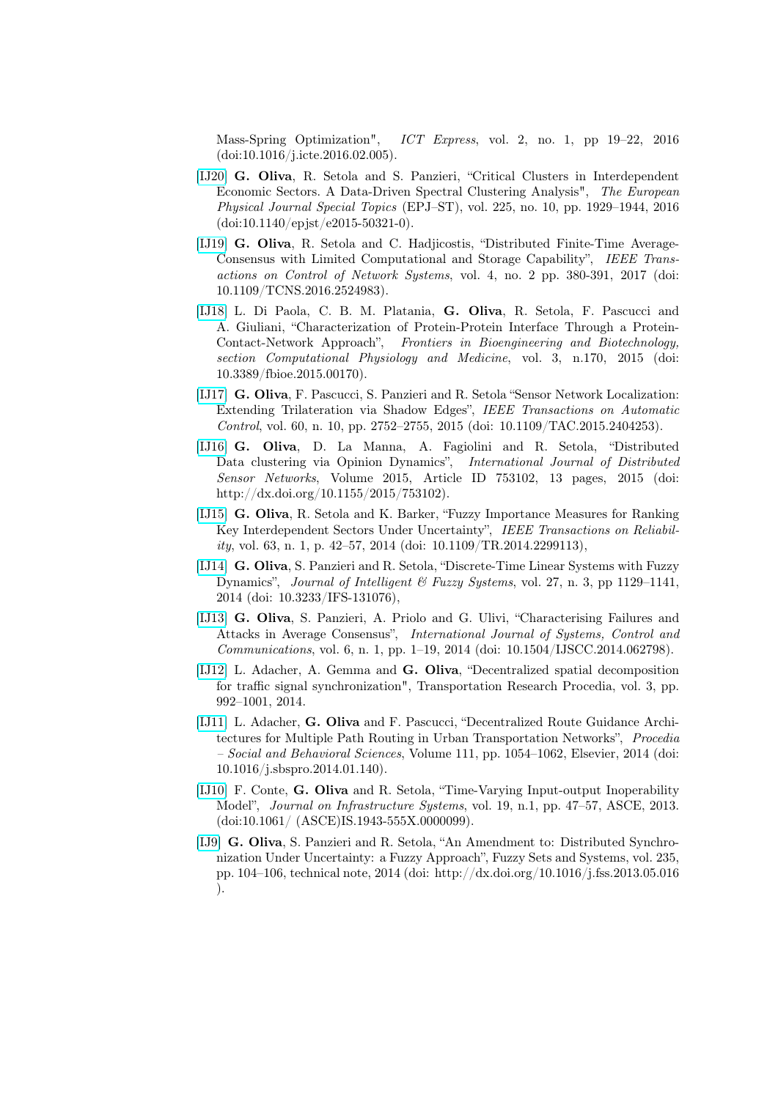Mass-Spring Optimization", ICT Express, vol. 2, no. 1, pp 19–22, 2016 (doi:10.1016/j.icte.2016.02.005).

- [\[IJ20\]](http://http://epjst.epj.org/) G. Oliva, R. Setola and S. Panzieri, "Critical Clusters in Interdependent Economic Sectors. A Data-Driven Spectral Clustering Analysis", The European Physical Journal Special Topics (EPJ–ST), vol. 225, no. 10, pp. 1929–1944, 2016 (doi:10.1140/epjst/e2015-50321-0).
- [\[IJ19\]](http://) G. Oliva, R. Setola and C. Hadjicostis, "Distributed Finite-Time Average-Consensus with Limited Computational and Storage Capability", IEEE Transactions on Control of Network Systems, vol. 4, no. 2 pp. 380-391, 2017 (doi: 10.1109/TCNS.2016.2524983).
- [\[IJ18\]](http://journal.frontiersin.org/journal/bioengineering-and-biotechnology) L. Di Paola, C. B. M. Platania, G. Oliva, R. Setola, F. Pascucci and A. Giuliani, "Characterization of Protein-Protein Interface Through a Protein-Contact-Network Approach", Frontiers in Bioengineering and Biotechnology, section Computational Physiology and Medicine, vol. 3, n.170, 2015 (doi: 10.3389/fbioe.2015.00170).
- [\[IJ17\]](http://ieeexplore.ieee.org/xpl/login.jsp?tp=&arnumber=7045608&url=http%3A%2F%2Fieeexplore.ieee.org%2Fiel7%2F9%2F4601496%2F07045608.pdf%3Farnumber%3D7045608) G. Oliva, F. Pascucci, S. Panzieri and R. Setola "Sensor Network Localization: Extending Trilateration via Shadow Edges", IEEE Transactions on Automatic Control, vol. 60, n. 10, pp. 2752–2755, 2015 (doi: 10.1109/TAC.2015.2404253).
- [\[IJ16\]](http://www.hindawi.com/journals/ijdsn/) G. Oliva, D. La Manna, A. Fagiolini and R. Setola, "Distributed Data clustering via Opinion Dynamics", International Journal of Distributed Sensor Networks, Volume 2015, Article ID 753102, 13 pages, 2015 (doi: http://dx.doi.org/10.1155/2015/753102).
- [\[IJ15\]](http://ieeexplore.ieee.org/xpl/login.jsp?tp=&arnumber=6712932&url=http%3A%2F%2Fieeexplore.ieee.org%2Fxpls%2Fabs_all.jsp%3Farnumber%3D6712932) G. Oliva, R. Setola and K. Barker, "Fuzzy Importance Measures for Ranking Key Interdependent Sectors Under Uncertainty", IEEE Transactions on Reliability, vol. 63, n. 1, p. 42–57, 2014 (doi:  $10.1109/TR.2014.2299113$ ),
- [\[IJ14\]](http://iospress.metapress.com/content/d20l61q7536nk181/) G. Oliva, S. Panzieri and R. Setola, "Discrete-Time Linear Systems with Fuzzy Dynamics", Journal of Intelligent  $\mathcal{B}$  Fuzzy Systems, vol. 27, n. 3, pp 1129–1141, 2014 (doi: 10.3233/IFS-131076),
- [\[IJ13\]](http://www.inderscience.com/info/ingeneral/forthcoming.php?jcode=ijscc) G. Oliva, S. Panzieri, A. Priolo and G. Ulivi, "Characterising Failures and Attacks in Average Consensus", International Journal of Systems, Control and Communications, vol. 6, n. 1, pp. 1–19, 2014 (doi: 10.1504/IJSCC.2014.062798).
- [\[IJ12\]](http://www.sciencedirect.com/science/article/pii/S2352146514002427) L. Adacher, A. Gemma and G. Oliva, "Decentralized spatial decomposition for traffic signal synchronization", Transportation Research Procedia, vol. 3, pp. 992–1001, 2014.
- [\[IJ11\]](http://www.sciencedirect.com/science/article/pii/S1877042814001414) L. Adacher, G. Oliva and F. Pascucci, "Decentralized Route Guidance Architectures for Multiple Path Routing in Urban Transportation Networks", Procedia – Social and Behavioral Sciences, Volume 111, pp. 1054–1062, Elsevier, 2014 (doi: 10.1016/j.sbspro.2014.01.140).
- [\[IJ10\]](http://ascelibrary.org/doi/abs/10.1061/%28ASCE%29IS.1943-555X.0000099?journalCode=jitse4) F. Conte, G. Oliva and R. Setola, "Time-Varying Input-output Inoperability Model", Journal on Infrastructure Systems, vol. 19, n.1, pp. 47–57, ASCE, 2013. (doi:10.1061/ (ASCE)IS.1943-555X.0000099).
- [\[IJ9\]](http://www.sciencedirect.com/science/article/pii/S0165011413002534) G. Oliva, S. Panzieri and R. Setola, "An Amendment to: Distributed Synchronization Under Uncertainty: a Fuzzy Approach", Fuzzy Sets and Systems, vol. 235, pp. 104–106, technical note, 2014 (doi: http://dx.doi.org/10.1016/j.fss.2013.05.016 ).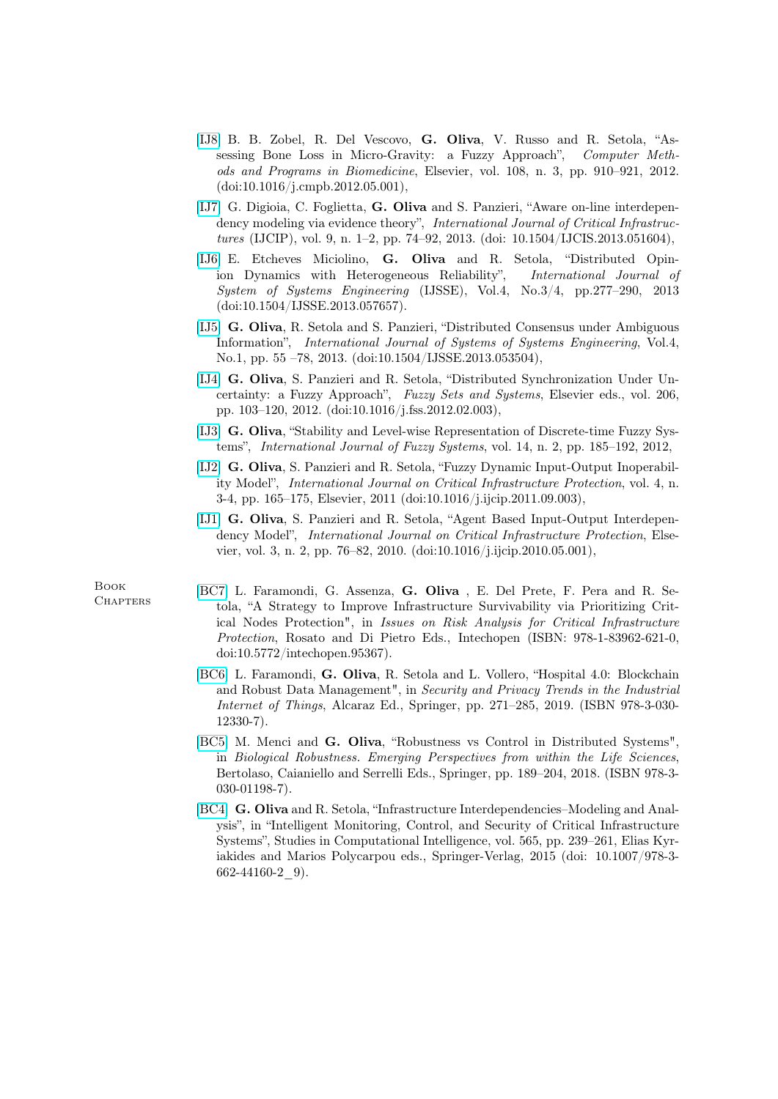- [\[IJ8\]](http://www.sciencedirect.com/science/article/pii/S0169260712001174) B. B. Zobel, R. Del Vescovo, G. Oliva, V. Russo and R. Setola, "Assessing Bone Loss in Micro-Gravity: a Fuzzy Approach", Computer Methods and Programs in Biomedicine, Elsevier, vol. 108, n. 3, pp. 910–921, 2012. (doi:10.1016/j.cmpb.2012.05.001),
- [\[IJ7\]](http://www.inderscience.com/info/inarticle.php?artid=51604) G. Digioia, C. Foglietta, G. Oliva and S. Panzieri, "Aware on-line interdependency modeling via evidence theory", International Journal of Critical Infrastructures (IJCIP), vol. 9, n. 1–2, pp. 74–92, 2013. (doi: 10.1504/IJCIS.2013.051604),
- [\[IJ6\]](https://www.google.it/url?sa=t&rct=j&q=&esrc=s&source=web&cd=2&cad=rja&uact=8&ved=0CC0QFjAB&url=http%3A%2F%2Fwww.inderscience.com%2Finfo%2Finarticle.php%3Fartid%3D57657&ei=LsIeVOX7LcS_ygOK0oHQAQ&usg=AFQjCNEu1o4CrbKRsrPKKEV6ljPFlt0whQ&sig2=ENb1u0c6__X0lP_vOhpKrg&bvm=bv.75775273,d.bGQ) E. Etcheves Miciolino, G. Oliva and R. Setola, "Distributed Opinion Dynamics with Heterogeneous Reliability", International Journal of System of Systems Engineering (IJSSE), Vol.4, No.3/4, pp.277–290, 2013 (doi:10.1504/IJSSE.2013.057657).
- [\[IJ5\]](http://www.inderscience.com/info/inarticle.php?artid=53504) G. Oliva, R. Setola and S. Panzieri, "Distributed Consensus under Ambiguous Information", International Journal of Systems of Systems Engineering, Vol.4, No.1, pp. 55 –78, 2013. (doi:10.1504/IJSSE.2013.053504),
- [\[IJ4\]](http://www.sciencedirect.com/science/article/pii/S0165011412000589) G. Oliva, S. Panzieri and R. Setola, "Distributed Synchronization Under Uncertainty: a Fuzzy Approach", Fuzzy Sets and Systems, Elsevier eds., vol. 206, pp. 103–120, 2012. (doi:10.1016/j.fss.2012.02.003),
- [\[IJ3\]](https://computer.niu.edu.tw:8443/ePublication/2012_paper_2/ijfs12-2-r-1-IJFS_ready_v1(4).pdf) G. Oliva, "Stability and Level-wise Representation of Discrete-time Fuzzy Systems", International Journal of Fuzzy Systems, vol. 14, n. 2, pp. 185–192, 2012,
- [\[IJ2\]](http://www.sciencedirect.com/science/article/pii/S1874548211000461) G. Oliva, S. Panzieri and R. Setola, "Fuzzy Dynamic Input-Output Inoperability Model", International Journal on Critical Infrastructure Protection, vol. 4, n. 3-4, pp. 165–175, Elsevier, 2011 (doi:10.1016/j.ijcip.2011.09.003),
- [\[IJ1\]](http://www.sciencedirect.com/science/article/pii/S187454821000020X) G. Oliva, S. Panzieri and R. Setola, "Agent Based Input-Output Interdependency Model", International Journal on Critical Infrastructure Protection, Elsevier, vol. 3, n. 2, pp. 76–82, 2010. (doi:10.1016/j.ijcip.2010.05.001),

Book **CHAPTERS** 

- [\[BC7\]](http://) L. Faramondi, G. Assenza, G. Oliva , E. Del Prete, F. Pera and R. Setola, "A Strategy to Improve Infrastructure Survivability via Prioritizing Critical Nodes Protection", in Issues on Risk Analysis for Critical Infrastructure Protection, Rosato and Di Pietro Eds., Intechopen (ISBN: 978-1-83962-621-0, doi:10.5772/intechopen.95367).
- [\[BC6\]](http://) L. Faramondi, G. Oliva, R. Setola and L. Vollero, "Hospital 4.0: Blockchain and Robust Data Management", in Security and Privacy Trends in the Industrial Internet of Things, Alcaraz Ed., Springer, pp. 271–285, 2019. (ISBN 978-3-030- 12330-7).
- [\[BC5\]](http://) M. Menci and G. Oliva, "Robustness vs Control in Distributed Systems", in Biological Robustness. Emerging Perspectives from within the Life Sciences, Bertolaso, Caianiello and Serrelli Eds., Springer, pp. 189–204, 2018. (ISBN 978-3- 030-01198-7).
- [\[BC4\]](http://link.springer.com/chapter/10.1007/978-3-662-44160-2_9) G. Oliva and R. Setola, "Infrastructure Interdependencies–Modeling and Analysis", in "Intelligent Monitoring, Control, and Security of Critical Infrastructure Systems", Studies in Computational Intelligence, vol. 565, pp. 239–261, Elias Kyriakides and Marios Polycarpou eds., Springer-Verlag, 2015 (doi: 10.1007/978-3- 662-44160-2\_9).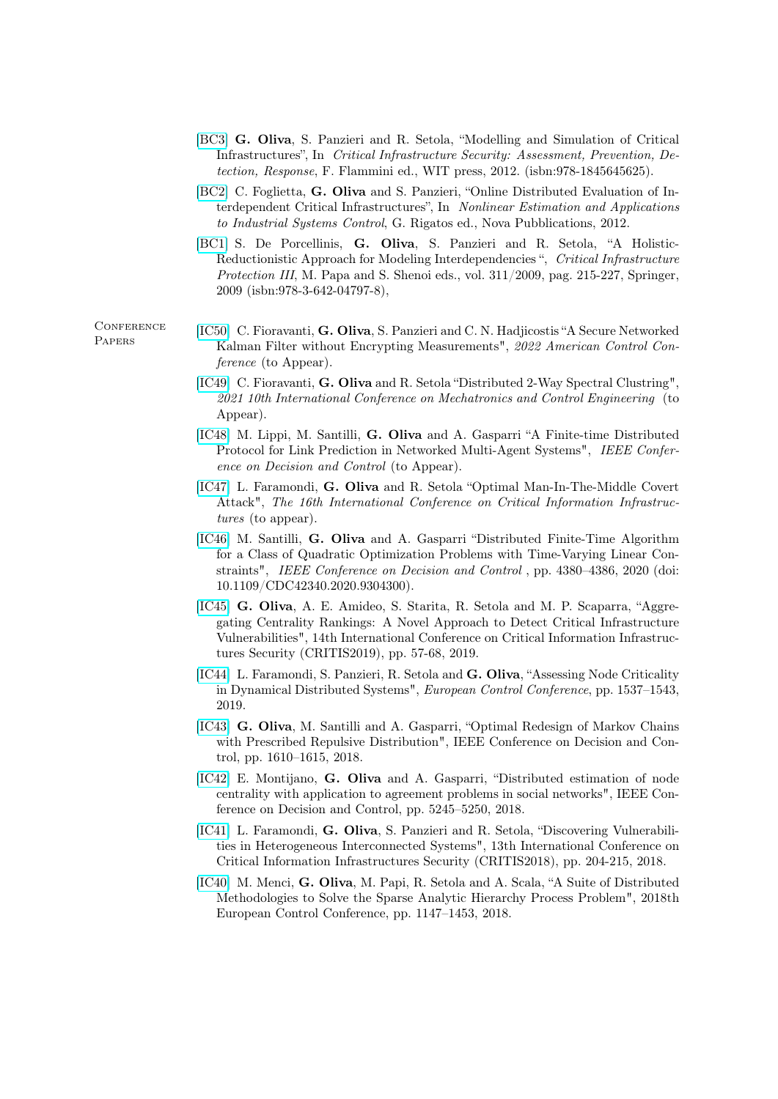- [\[BC3\]](http://www.witpress.com/978-1-84564-562-5.html) G. Oliva, S. Panzieri and R. Setola, "Modelling and Simulation of Critical Infrastructures", In Critical Infrastructure Security: Assessment, Prevention, Detection, Response, F. Flammini ed., WIT press, 2012. (isbn:978-1845645625).
- [\[BC2\]](https://www.novapublishers.com/catalog/product_info.php?products_id=34893) C. Foglietta, G. Oliva and S. Panzieri, "Online Distributed Evaluation of Interdependent Critical Infrastructures", In Nonlinear Estimation and Applications to Industrial Systems Control, G. Rigatos ed., Nova Pubblications, 2012.
- [\[BC1\]](http://www.springer.com/computer/security+and+cryptology/book/978-3-642-04797-8) S. De Porcellinis, G. Oliva, S. Panzieri and R. Setola, "A Holistic-Reductionistic Approach for Modeling Interdependencies ", Critical Infrastructure Protection III, M. Papa and S. Shenoi eds., vol. 311/2009, pag. 215-227, Springer, 2009 (isbn:978-3-642-04797-8),

**CONFERENCE PAPERS** 

- [\[IC50\]](http:\) C. Fioravanti, G. Oliva, S. Panzieri and C. N. Hadjicostis "A Secure Networked Kalman Filter without Encrypting Measurements", 2022 American Control Conference (to Appear).
	- [\[IC49\]](http:\) C. Fioravanti, G. Oliva and R. Setola "Distributed 2-Way Spectral Clustring", 2021 10th International Conference on Mechatronics and Control Engineering (to Appear).
	- [\[IC48\]](http:\) M. Lippi, M. Santilli, G. Oliva and A. Gasparri "A Finite-time Distributed Protocol for Link Prediction in Networked Multi-Agent Systems", IEEE Conference on Decision and Control (to Appear).
	- [\[IC47\]](http:\) L. Faramondi, G. Oliva and R. Setola "Optimal Man-In-The-Middle Covert Attack", The 16th International Conference on Critical Information Infrastructures (to appear).
	- [\[IC46\]](http:\) M. Santilli, G. Oliva and A. Gasparri "Distributed Finite-Time Algorithm for a Class of Quadratic Optimization Problems with Time-Varying Linear Constraints", IEEE Conference on Decision and Control , pp. 4380–4386, 2020 (doi: 10.1109/CDC42340.2020.9304300).
	- [\[IC45\]](http://) G. Oliva, A. E. Amideo, S. Starita, R. Setola and M. P. Scaparra, "Aggregating Centrality Rankings: A Novel Approach to Detect Critical Infrastructure Vulnerabilities", 14th International Conference on Critical Information Infrastructures Security (CRITIS2019), pp. 57-68, 2019.
	- [\[IC44\]](http://) L. Faramondi, S. Panzieri, R. Setola and G. Oliva, "Assessing Node Criticality in Dynamical Distributed Systems", European Control Conference, pp. 1537–1543, 2019.
	- [\[IC43\]](http://) G. Oliva, M. Santilli and A. Gasparri, "Optimal Redesign of Markov Chains with Prescribed Repulsive Distribution", IEEE Conference on Decision and Control, pp. 1610–1615, 2018.
	- [\[IC42\]](http://) E. Montijano, G. Oliva and A. Gasparri, "Distributed estimation of node centrality with application to agreement problems in social networks", IEEE Conference on Decision and Control, pp. 5245–5250, 2018.
	- [\[IC41\]](http://) L. Faramondi, G. Oliva, S. Panzieri and R. Setola, "Discovering Vulnerabilities in Heterogeneous Interconnected Systems", 13th International Conference on Critical Information Infrastructures Security (CRITIS2018), pp. 204-215, 2018.
	- [\[IC40\]](http://) M. Menci, G. Oliva, M. Papi, R. Setola and A. Scala, "A Suite of Distributed Methodologies to Solve the Sparse Analytic Hierarchy Process Problem", 2018th European Control Conference, pp. 1147–1453, 2018.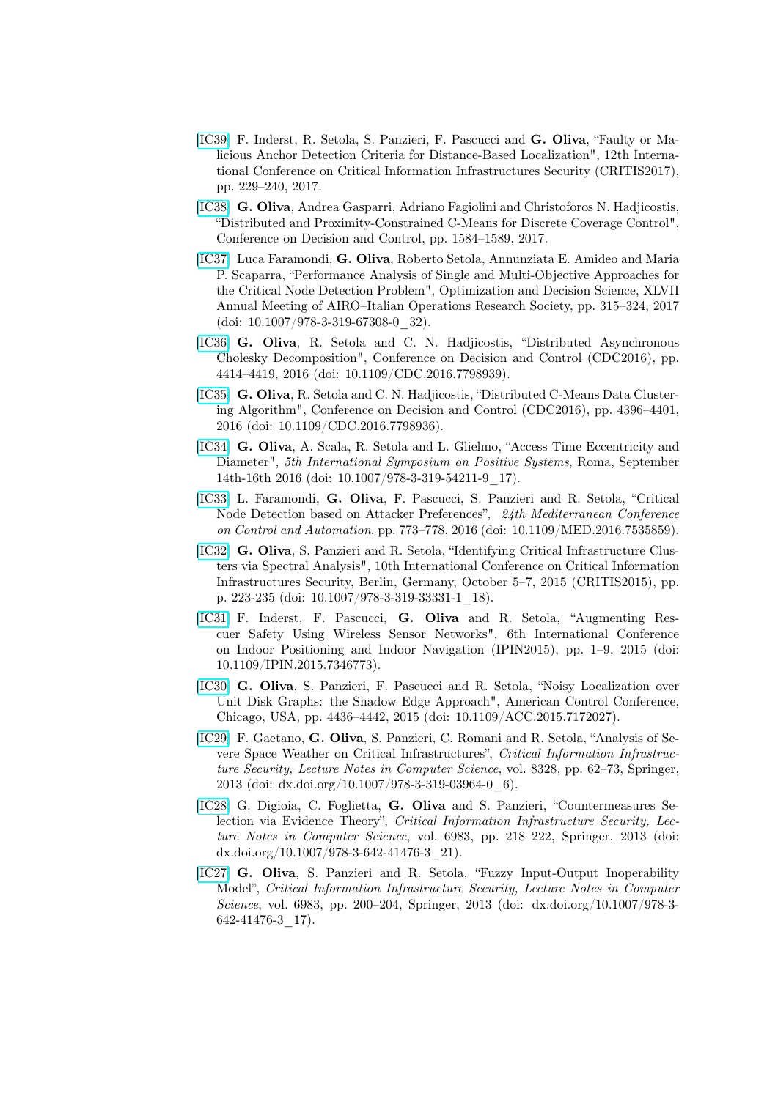- [\[IC39\]](http://www.critis2017.org) F. Inderst, R. Setola, S. Panzieri, F. Pascucci and G. Oliva, "Faulty or Malicious Anchor Detection Criteria for Distance-Based Localization", 12th International Conference on Critical Information Infrastructures Security (CRITIS2017), pp. 229–240, 2017.
- [\[IC38\]](http://) G. Oliva, Andrea Gasparri, Adriano Fagiolini and Christoforos N. Hadjicostis, "Distributed and Proximity-Constrained C-Means for Discrete Coverage Control", Conference on Decision and Control, pp. 1584–1589, 2017.
- [\[IC37\]](http://www.airoconference.it/ods2017/) Luca Faramondi, G. Oliva, Roberto Setola, Annunziata E. Amideo and Maria P. Scaparra, "Performance Analysis of Single and Multi-Objective Approaches for the Critical Node Detection Problem", Optimization and Decision Science, XLVII Annual Meeting of AIRO–Italian Operations Research Society, pp. 315–324, 2017 (doi: 10.1007/978-3-319-67308-0\_32).
- [\[IC36\]](http://) G. Oliva, R. Setola and C. N. Hadjicostis, "Distributed Asynchronous Cholesky Decomposition", Conference on Decision and Control (CDC2016), pp. 4414–4419, 2016 (doi: 10.1109/CDC.2016.7798939).
- [\[IC35\]](http://) G. Oliva, R. Setola and C. N. Hadjicostis, "Distributed C-Means Data Clustering Algorithm", Conference on Decision and Control (CDC2016), pp. 4396–4401, 2016 (doi: 10.1109/CDC.2016.7798936).
- [\[IC34\]](http://www.posta2016.org/) G. Oliva, A. Scala, R. Setola and L. Glielmo, "Access Time Eccentricity and Diameter", 5th International Symposium on Positive Systems, Roma, September 14th-16th 2016 (doi: 10.1007/978-3-319-54211-9\_17).
- [\[IC33\]](http:\) L. Faramondi, G. Oliva, F. Pascucci, S. Panzieri and R. Setola, "Critical Node Detection based on Attacker Preferences", 24th Mediterranean Conference on Control and Automation, pp. 773–778, 2016 (doi: 10.1109/MED.2016.7535859).
- [\[IC32\]](http://) G. Oliva, S. Panzieri and R. Setola, "Identifying Critical Infrastructure Clusters via Spectral Analysis", 10th International Conference on Critical Information Infrastructures Security, Berlin, Germany, October 5–7, 2015 (CRITIS2015), pp. p. 223-235 (doi: 10.1007/978-3-319-33331-1\_18).
- [\[IC31\]](http://) F. Inderst, F. Pascucci, G. Oliva and R. Setola, "Augmenting Rescuer Safety Using Wireless Sensor Networks", 6th International Conference on Indoor Positioning and Indoor Navigation (IPIN2015), pp. 1–9, 2015 (doi: 10.1109/IPIN.2015.7346773).
- [\[IC30\]](http://) G. Oliva, S. Panzieri, F. Pascucci and R. Setola, "Noisy Localization over Unit Disk Graphs: the Shadow Edge Approach", American Control Conference, Chicago, USA, pp. 4436–4442, 2015 (doi: 10.1109/ACC.2015.7172027).
- [\[IC29\]](http://link.springer.com/chapter/10.1007%2F978-3-319-03964-0_6) F. Gaetano, G. Oliva, S. Panzieri, C. Romani and R. Setola, "Analysis of Severe Space Weather on Critical Infrastructures", Critical Information Infrastructure Security, Lecture Notes in Computer Science, vol. 8328, pp. 62–73, Springer, 2013 (doi: dx.doi.org/10.1007/978-3-319-03964-0\_6).
- [\[IC28\]](http://link.springer.com/chapter/10.1007/978-3-642-41476-3_21) G. Digioia, C. Foglietta, G. Oliva and S. Panzieri, "Countermeasures Selection via Evidence Theory", Critical Information Infrastructure Security, Lecture Notes in Computer Science, vol. 6983, pp. 218–222, Springer, 2013 (doi: dx.doi.org/10.1007/978-3-642-41476-3\_21).
- [\[IC27\]](http://link.springer.com/chapter/10.1007%2F978-3-642-41476-3_17) G. Oliva, S. Panzieri and R. Setola, "Fuzzy Input-Output Inoperability Model", Critical Information Infrastructure Security, Lecture Notes in Computer Science, vol. 6983, pp. 200–204, Springer, 2013 (doi: dx.doi.org/10.1007/978-3- 642-41476-3\_17).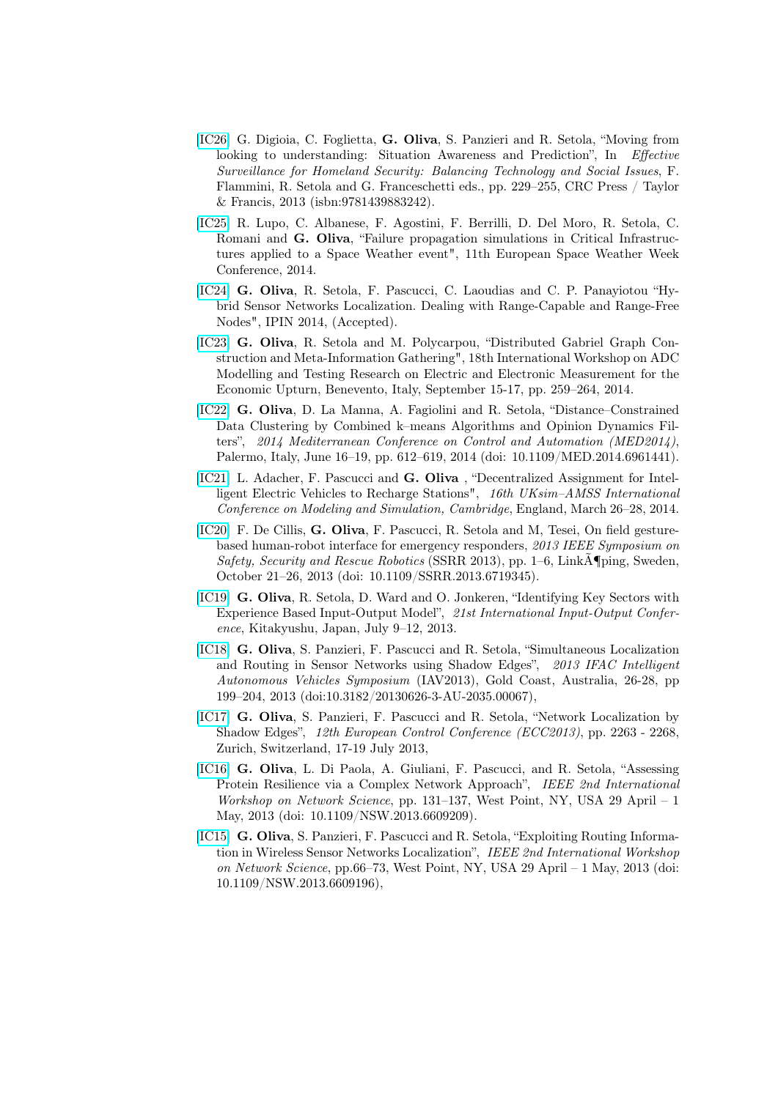- [\[IC26\]](http://www.crcpress.com/product/isbn/9781439883242) G. Digioia, C. Foglietta, G. Oliva, S. Panzieri and R. Setola, "Moving from looking to understanding: Situation Awareness and Prediction", In Effective Surveillance for Homeland Security: Balancing Technology and Social Issues, F. Flammini, R. Setola and G. Franceschetti eds., pp. 229–255, CRC Press / Taylor & Francis, 2013 (isbn:9781439883242).
- [\[IC25\]](http://www.stce.be/esww11/program/08.php) R. Lupo, C. Albanese, F. Agostini, F. Berrilli, D. Del Moro, R. Setola, C. Romani and G. Oliva, "Failure propagation simulations in Critical Infrastructures applied to a Space Weather event", 11th European Space Weather Week Conference, 2014.
- [\[IC24\]](http://) G. Oliva, R. Setola, F. Pascucci, C. Laoudias and C. P. Panayiotou "Hybrid Sensor Networks Localization. Dealing with Range-Capable and Range-Free Nodes", IPIN 2014, (Accepted).
- [\[IC23\]](http://) G. Oliva, R. Setola and M. Polycarpou, "Distributed Gabriel Graph Construction and Meta-Information Gathering", 18th International Workshop on ADC Modelling and Testing Research on Electric and Electronic Measurement for the Economic Upturn, Benevento, Italy, September 15-17, pp. 259–264, 2014.
- [\[IC22\]](http://) G. Oliva, D. La Manna, A. Fagiolini and R. Setola, "Distance–Constrained Data Clustering by Combined k–means Algorithms and Opinion Dynamics Filters", 2014 Mediterranean Conference on Control and Automation (MED2014), Palermo, Italy, June 16–19, pp. 612–619, 2014 (doi: 10.1109/MED.2014.6961441).
- [\[IC21\]](http://uksim2014.info/) L. Adacher, F. Pascucci and G. Oliva , "Decentralized Assignment for Intelligent Electric Vehicles to Recharge Stations", 16th UKsim–AMSS International Conference on Modeling and Simulation, Cambridge, England, March 26–28, 2014.
- [\[IC20\]](http://ieeexplore.ieee.org/xpl/login.jsp?tp=&arnumber=6719345&url=http%3A%2F%2Fieeexplore.ieee.org%2Fiel7%2F6708581%2F6719314%2F06719345.pdf%3Farnumber%3D6719345) F. De Cillis, G. Oliva, F. Pascucci, R. Setola and M, Tesei, On field gesturebased human-robot interface for emergency responders, 2013 IEEE Symposium on Safety, Security and Rescue Robotics (SSRR 2013), pp. 1–6, LinkA¶ping, Sweden, October 21–26, 2013 (doi: 10.1109/SSRR.2013.6719345).
- [\[IC19\]](http://www.iioa.org/Conference/21st/) G. Oliva, R. Setola, D. Ward and O. Jonkeren, "Identifying Key Sectors with Experience Based Input-Output Model", 21st International Input-Output Conference, Kitakyushu, Japan, July 9–12, 2013.
- [\[IC18\]](http://www.ifac-papersonline.net/Detailed/59409.html) G. Oliva, S. Panzieri, F. Pascucci and R. Setola, "Simultaneous Localization and Routing in Sensor Networks using Shadow Edges", 2013 IFAC Intelligent Autonomous Vehicles Symposium (IAV2013), Gold Coast, Australia, 26-28, pp 199–204, 2013 (doi:10.3182/20130626-3-AU-2035.00067),
- [\[IC17\]](http://ieeexplore.ieee.org/xpl/articleDetails.jsp?tp=&arnumber=6669268&queryText%3DNetwork+Localization+by+Shadow+Edges) G. Oliva, S. Panzieri, F. Pascucci and R. Setola, "Network Localization by Shadow Edges", 12th European Control Conference (ECC2013), pp. 2263 - 2268, Zurich, Switzerland, 17-19 July 2013,
- [\[IC16\]](http://ieeexplore.ieee.org/xpl/login.jsp?tp=&arnumber=6609209&url=http%3A%2F%2Fieeexplore.ieee.org%2Fiel7%2F6596017%2F6609181%2F06609209.pdf%3Farnumber%3D6609209) G. Oliva, L. Di Paola, A. Giuliani, F. Pascucci, and R. Setola, "Assessing Protein Resilience via a Complex Network Approach", IEEE 2nd International Workshop on Network Science, pp. 131–137, West Point, NY, USA 29 April – 1 May, 2013 (doi: 10.1109/NSW.2013.6609209).
- [\[IC15\]](http://ieeexplore.ieee.org/xpl/articleDetails.jsp?tp=&arnumber=6609196&queryText%3DExploiting+Routing+Information+in+Wireless+Sensor+Networks+Localization) G. Oliva, S. Panzieri, F. Pascucci and R. Setola, "Exploiting Routing Information in Wireless Sensor Networks Localization", IEEE 2nd International Workshop on Network Science, pp.66–73, West Point, NY, USA 29 April – 1 May, 2013 (doi: 10.1109/NSW.2013.6609196),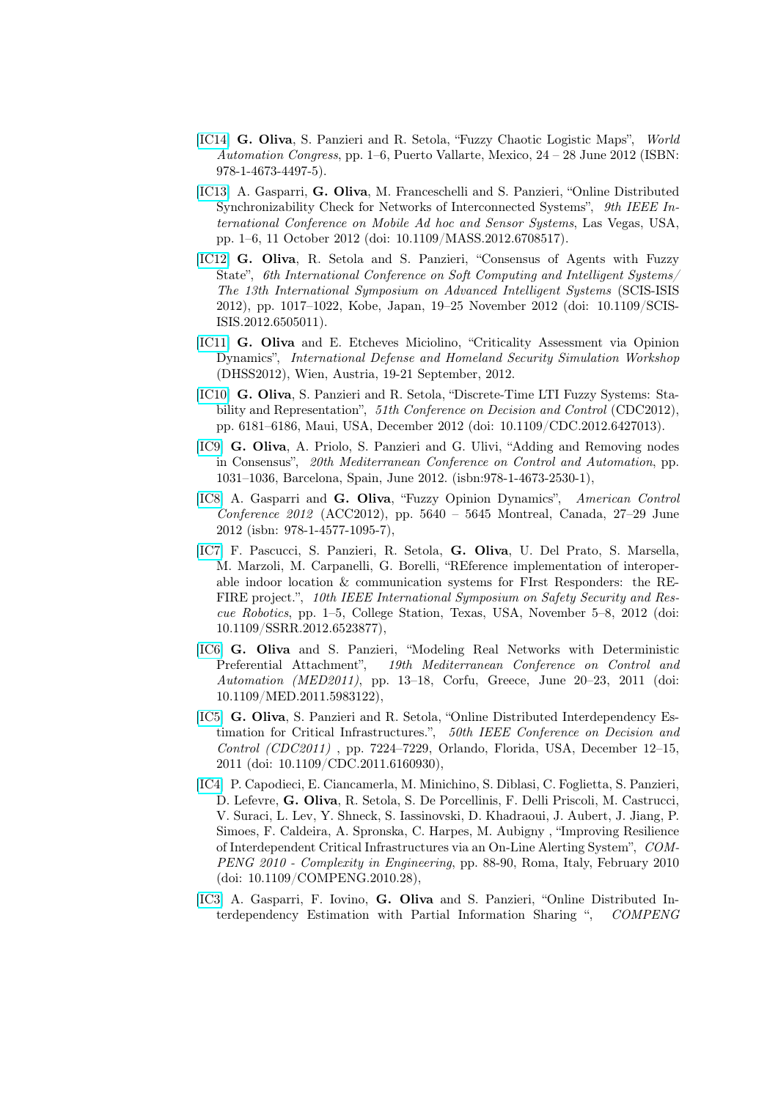- [\[IC14\]](http://ieeexplore.ieee.org/xpl/articleDetails.jsp?tp=&arnumber=6320888&contentType=Conference+Publications&sortType%3Dasc_p_Sequence%26filter%3DAND(p_IS_Number%3A6320876)%26rowsPerPage%3D50) G. Oliva, S. Panzieri and R. Setola, "Fuzzy Chaotic Logistic Maps", World Automation Congress, pp. 1–6, Puerto Vallarte, Mexico, 24 – 28 June 2012 (ISBN: 978-1-4673-4497-5).
- [\[IC13\]](http://ieeexplore.ieee.org/xpl/articleDetails.jsp?tp=&arnumber=6708517&queryText%3DOnline+Distributed+Synchronizability+Check+for+Networks+of+Interconnected+Systems) A. Gasparri, G. Oliva, M. Franceschelli and S. Panzieri, "Online Distributed Synchronizability Check for Networks of Interconnected Systems", 9th IEEE International Conference on Mobile Ad hoc and Sensor Systems, Las Vegas, USA, pp. 1–6, 11 October 2012 (doi: 10.1109/MASS.2012.6708517).
- [\[IC12\]](http://ieeexplore.ieee.org/xpl/login.jsp?tp=&arnumber=6505011&url=http%3A%2F%2Fieeexplore.ieee.org%2Fxpls%2Fabs_all.jsp%3Farnumber%3D6505011) G. Oliva, R. Setola and S. Panzieri, "Consensus of Agents with Fuzzy State", 6th International Conference on Soft Computing and Intelligent Systems/ The 13th International Symposium on Advanced Intelligent Systems (SCIS-ISIS 2012), pp. 1017–1022, Kobe, Japan, 19–25 November 2012 (doi: 10.1109/SCIS-ISIS.2012.6505011).
- [\[IC11\]](http://www.msc-les.org/conf/dhss2012/) G. Oliva and E. Etcheves Miciolino, "Criticality Assessment via Opinion Dynamics", International Defense and Homeland Security Simulation Workshop (DHSS2012), Wien, Austria, 19-21 September, 2012.
- [\[IC10\]](http://ieeexplore.ieee.org/xpl/login.jsp?tp=&arnumber=6427013&url=http%3A%2F%2Fieeexplore.ieee.org%2Fxpls%2Fabs_all.jsp%3Farnumber%3D6427013) G. Oliva, S. Panzieri and R. Setola, "Discrete-Time LTI Fuzzy Systems: Stability and Representation", 51th Conference on Decision and Control (CDC2012), pp. 6181–6186, Maui, USA, December 2012 (doi: 10.1109/CDC.2012.6427013).
- [\[IC9\]](http://ieeexplore.ieee.org/xpl/articleDetails.jsp?tp=&arnumber=6265774&queryText%3DAdding+and+Removing+nodes+in+Consensus) G. Oliva, A. Priolo, S. Panzieri and G. Ulivi, "Adding and Removing nodes in Consensus", 20th Mediterranean Conference on Control and Automation, pp. 1031–1036, Barcelona, Spain, June 2012. (isbn:978-1-4673-2530-1),
- [\[IC8\]](http://ieeexplore.ieee.org/xpl/login.jsp?tp=&arnumber=6314944&url=http%3A%2F%2Fieeexplore.ieee.org%2Fiel5%2F6297579%2F6314593%2F06314944.pdf%3Farnumber%3D6314944) A. Gasparri and G. Oliva, "Fuzzy Opinion Dynamics", American Control Conference 2012 (ACC2012), pp. 5640 – 5645 Montreal, Canada, 27–29 June 2012 (isbn: 978-1-4577-1095-7),
- [\[IC7\]](http://ieeexplore.ieee.org/xpl/login.jsp?tp=&arnumber=6523877&url=http%3A%2F%2Fieeexplore.ieee.org%2Fiel7%2F6520954%2F6523862%2F06523877.pdf%3Farnumber%3D6523877) F. Pascucci, S. Panzieri, R. Setola, G. Oliva, U. Del Prato, S. Marsella, M. Marzoli, M. Carpanelli, G. Borelli, "REference implementation of interoperable indoor location & communication systems for FIrst Responders: the RE-FIRE project.", 10th IEEE International Symposium on Safety Security and Rescue Robotics, pp. 1–5, College Station, Texas, USA, November 5–8, 2012 (doi: 10.1109/SSRR.2012.6523877),
- [\[IC6\]](http://ieeexplore.ieee.org/xpl/login.jsp?tp=&arnumber=5983122&url=http%3A%2F%2Fieeexplore.ieee.org%2Fiel5%2F5968919%2F5982972%2F05983122.pdf%3Farnumber%3D5983122) G. Oliva and S. Panzieri, "Modeling Real Networks with Deterministic Preferential Attachment", 19th Mediterranean Conference on Control and Automation (MED2011), pp. 13–18, Corfu, Greece, June 20–23, 2011 (doi: 10.1109/MED.2011.5983122),
- [\[IC5\]](http://ieeexplore.ieee.org/xpl/articleDetails.jsp?tp=&arnumber=6160930&queryText%3DOnline+Distributed+Interdependency+Estimation+for+Critical+Infrastructures) G. Oliva, S. Panzieri and R. Setola, "Online Distributed Interdependency Estimation for Critical Infrastructures.", 50th IEEE Conference on Decision and Control (CDC2011) , pp. 7224–7229, Orlando, Florida, USA, December 12–15, 2011 (doi: 10.1109/CDC.2011.6160930),
- [\[IC4\]](http://ieeexplore.ieee.org/xpl/articleDetails.jsp?tp=&arnumber=5432901&queryText%3DImproving+Resilience+of+Interdependent+Critical+Infrastructures+via+an+On-Line+Alerting+System) P. Capodieci, E. Ciancamerla, M. Minichino, S. Diblasi, C. Foglietta, S. Panzieri, D. Lefevre, G. Oliva, R. Setola, S. De Porcellinis, F. Delli Priscoli, M. Castrucci, V. Suraci, L. Lev, Y. Shneck, S. Iassinovski, D. Khadraoui, J. Aubert, J. Jiang, P. Simoes, F. Caldeira, A. Spronska, C. Harpes, M. Aubigny , "Improving Resilience of Interdependent Critical Infrastructures via an On-Line Alerting System", COM-PENG 2010 - Complexity in Engineering, pp. 88-90, Roma, Italy, February 2010 (doi: 10.1109/COMPENG.2010.28),
- [\[IC3\]](http://ieeexplore.ieee.org/xpl/articleDetails.jsp?tp=&arnumber=5432903&queryText%3DOnline+Distributed+Interdependency+Estimation+with+Partial+Information+Sharing) A. Gasparri, F. Iovino, G. Oliva and S. Panzieri, "Online Distributed Interdependency Estimation with Partial Information Sharing ", COMPENG